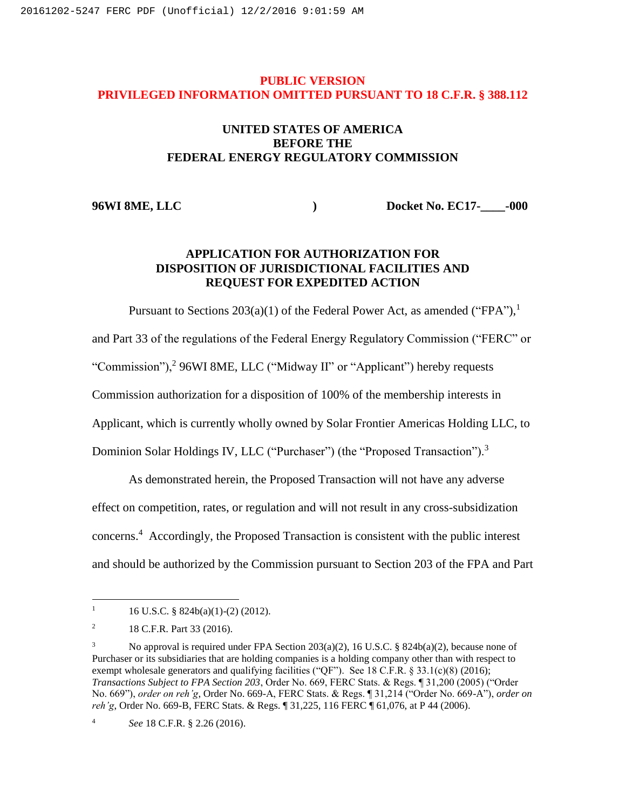#### **PUBLIC VERSION PRIVILEGED INFORMATION OMITTED PURSUANT TO 18 C.F.R. § 388.112**

### **UNITED STATES OF AMERICA BEFORE THE FEDERAL ENERGY REGULATORY COMMISSION**

**96WI 8ME, LLC ) Docket No. EC17-\_\_\_\_-000**

### **APPLICATION FOR AUTHORIZATION FOR DISPOSITION OF JURISDICTIONAL FACILITIES AND REQUEST FOR EXPEDITED ACTION**

Pursuant to Sections  $203(a)(1)$  of the Federal Power Act, as amended ("FPA").<sup>1</sup> and Part 33 of the regulations of the Federal Energy Regulatory Commission ("FERC" or "Commission"),<sup>2</sup> 96WI 8ME, LLC ("Midway II" or "Applicant") hereby requests Commission authorization for a disposition of 100% of the membership interests in Applicant, which is currently wholly owned by Solar Frontier Americas Holding LLC, to Dominion Solar Holdings IV, LLC ("Purchaser") (the "Proposed Transaction").<sup>3</sup>

As demonstrated herein, the Proposed Transaction will not have any adverse effect on competition, rates, or regulation and will not result in any cross-subsidization concerns.<sup>4</sup> Accordingly, the Proposed Transaction is consistent with the public interest and should be authorized by the Commission pursuant to Section 203 of the FPA and Part

<sup>&</sup>lt;sup>1</sup> 16 U.S.C. § 824b(a)(1)-(2) (2012).

<sup>&</sup>lt;sup>2</sup> 18 C.F.R. Part 33 (2016).

No approval is required under FPA Section  $203(a)(2)$ , 16 U.S.C. § 824b(a)(2), because none of Purchaser or its subsidiaries that are holding companies is a holding company other than with respect to exempt wholesale generators and qualifying facilities ("QF"). See 18 C.F.R. § 33.1(c)(8) (2016); *Transactions Subject to FPA Section 203*, Order No. 669, FERC Stats. & Regs. ¶ 31,200 (2005) ("Order No. 669"), *order on reh'g*, Order No. 669-A, FERC Stats. & Regs. ¶ 31,214 ("Order No. 669-A"), *order on reh'g*, Order No. 669-B, FERC Stats. & Regs. ¶ 31,225, 116 FERC ¶ 61,076, at P 44 (2006).

<sup>4</sup> *See* 18 C.F.R. § 2.26 (2016).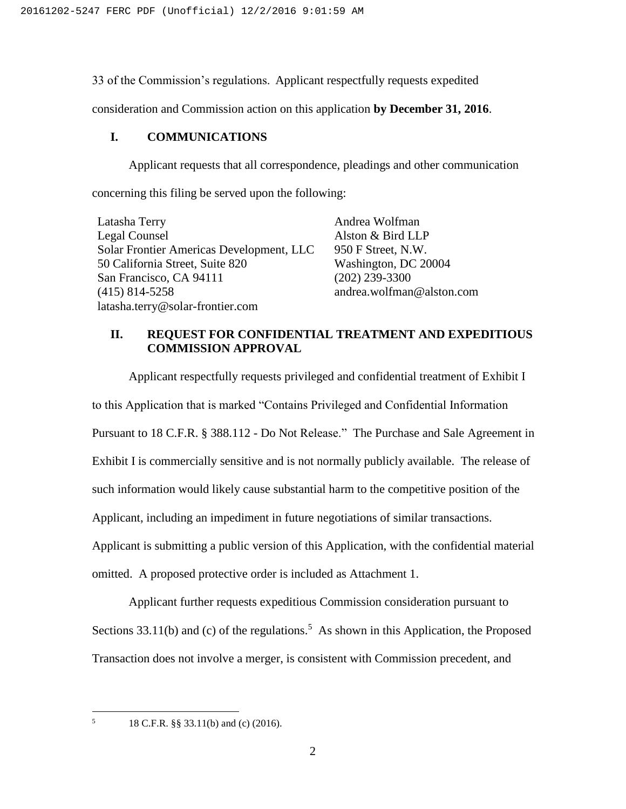33 of the Commission's regulations. Applicant respectfully requests expedited

consideration and Commission action on this application **by December 31, 2016**.

#### **I. COMMUNICATIONS**

Applicant requests that all correspondence, pleadings and other communication concerning this filing be served upon the following:

| Latasha Terry                            | Andrea Wolfman            |
|------------------------------------------|---------------------------|
| Legal Counsel                            | Alston & Bird LLP         |
| Solar Frontier Americas Development, LLC | 950 F Street, N.W.        |
| 50 California Street, Suite 820          | Washington, DC 20004      |
| San Francisco, CA 94111                  | $(202)$ 239-3300          |
| $(415)$ 814-5258                         | andrea.wolfman@alston.com |
| latasha.terry@solar-frontier.com         |                           |

### **II. REQUEST FOR CONFIDENTIAL TREATMENT AND EXPEDITIOUS COMMISSION APPROVAL**

Applicant respectfully requests privileged and confidential treatment of Exhibit I to this Application that is marked "Contains Privileged and Confidential Information Pursuant to 18 C.F.R. § 388.112 - Do Not Release." The Purchase and Sale Agreement in Exhibit I is commercially sensitive and is not normally publicly available. The release of such information would likely cause substantial harm to the competitive position of the Applicant, including an impediment in future negotiations of similar transactions. Applicant is submitting a public version of this Application, with the confidential material omitted. A proposed protective order is included as Attachment 1.

Applicant further requests expeditious Commission consideration pursuant to Sections 33.11(b) and (c) of the regulations.<sup>5</sup> As shown in this Application, the Proposed Transaction does not involve a merger, is consistent with Commission precedent, and

 $\mathfrak{S}$ 

<sup>5</sup> 18 C.F.R. §§ 33.11(b) and (c) (2016).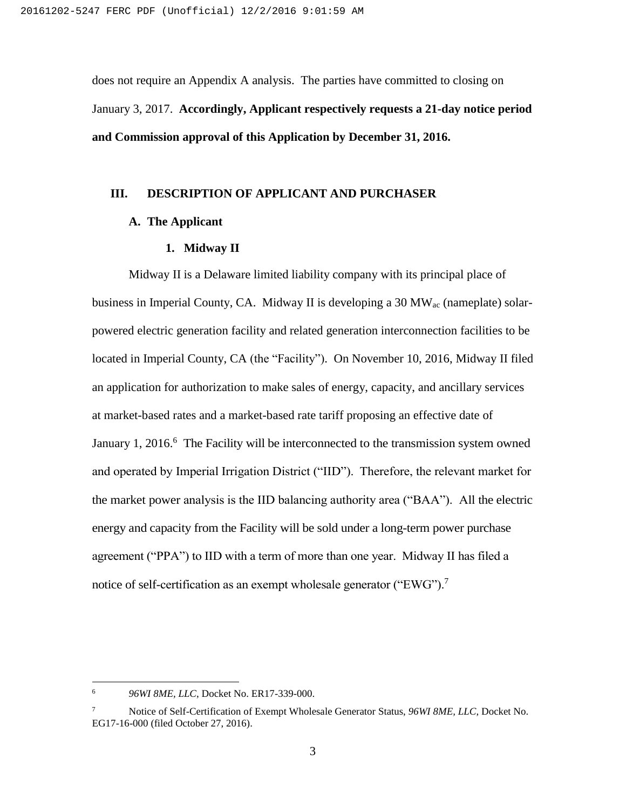does not require an Appendix A analysis. The parties have committed to closing on January 3, 2017. **Accordingly, Applicant respectively requests a 21-day notice period and Commission approval of this Application by December 31, 2016.**

#### **III. DESCRIPTION OF APPLICANT AND PURCHASER**

#### **A. The Applicant**

#### **1. Midway II**

Midway II is a Delaware limited liability company with its principal place of business in Imperial County, CA. Midway II is developing a 30 MW<sub>ac</sub> (nameplate) solarpowered electric generation facility and related generation interconnection facilities to be located in Imperial County, CA (the "Facility"). On November 10, 2016, Midway II filed an application for authorization to make sales of energy, capacity, and ancillary services at market-based rates and a market-based rate tariff proposing an effective date of January 1, 2016.<sup>6</sup> The Facility will be interconnected to the transmission system owned and operated by Imperial Irrigation District ("IID"). Therefore, the relevant market for the market power analysis is the IID balancing authority area ("BAA"). All the electric energy and capacity from the Facility will be sold under a long-term power purchase agreement ("PPA") to IID with a term of more than one year. Midway II has filed a notice of self-certification as an exempt wholesale generator ("EWG").<sup>7</sup>

<sup>6</sup> *96WI 8ME, LLC*, Docket No. ER17-339-000.

<sup>7</sup> Notice of Self-Certification of Exempt Wholesale Generator Status, *96WI 8ME, LLC*, Docket No. EG17-16-000 (filed October 27, 2016).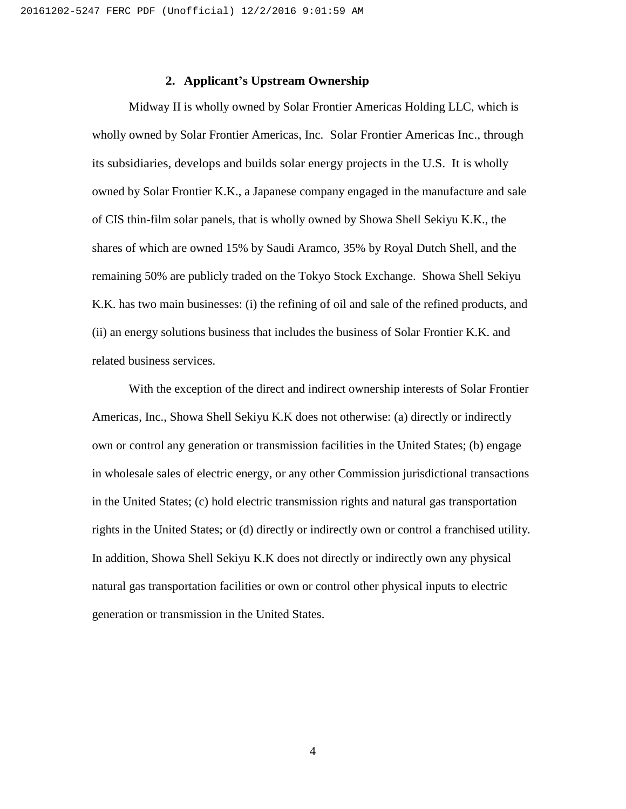#### **2. Applicant's Upstream Ownership**

Midway II is wholly owned by Solar Frontier Americas Holding LLC, which is wholly owned by Solar Frontier Americas, Inc. Solar Frontier Americas Inc., through its subsidiaries, develops and builds solar energy projects in the U.S. It is wholly owned by Solar Frontier K.K., a Japanese company engaged in the manufacture and sale of CIS thin-film solar panels, that is wholly owned by Showa Shell Sekiyu K.K., the shares of which are owned 15% by Saudi Aramco, 35% by Royal Dutch Shell, and the remaining 50% are publicly traded on the Tokyo Stock Exchange. Showa Shell Sekiyu K.K. has two main businesses: (i) the refining of oil and sale of the refined products, and (ii) an energy solutions business that includes the business of Solar Frontier K.K. and related business services.

With the exception of the direct and indirect ownership interests of Solar Frontier Americas, Inc., Showa Shell Sekiyu K.K does not otherwise: (a) directly or indirectly own or control any generation or transmission facilities in the United States; (b) engage in wholesale sales of electric energy, or any other Commission jurisdictional transactions in the United States; (c) hold electric transmission rights and natural gas transportation rights in the United States; or (d) directly or indirectly own or control a franchised utility. In addition, Showa Shell Sekiyu K.K does not directly or indirectly own any physical natural gas transportation facilities or own or control other physical inputs to electric generation or transmission in the United States.

4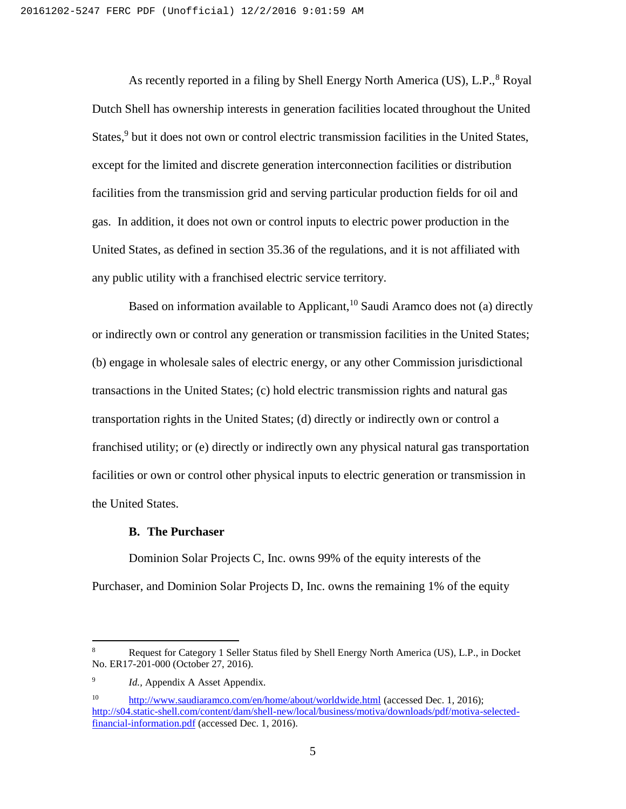As recently reported in a filing by Shell Energy North America (US), L.P.,<sup>8</sup> Royal Dutch Shell has ownership interests in generation facilities located throughout the United States,<sup>9</sup> but it does not own or control electric transmission facilities in the United States, except for the limited and discrete generation interconnection facilities or distribution facilities from the transmission grid and serving particular production fields for oil and gas. In addition, it does not own or control inputs to electric power production in the United States, as defined in section 35.36 of the regulations, and it is not affiliated with any public utility with a franchised electric service territory.

Based on information available to Applicant,<sup>10</sup> Saudi Aramco does not (a) directly or indirectly own or control any generation or transmission facilities in the United States; (b) engage in wholesale sales of electric energy, or any other Commission jurisdictional transactions in the United States; (c) hold electric transmission rights and natural gas transportation rights in the United States; (d) directly or indirectly own or control a franchised utility; or (e) directly or indirectly own any physical natural gas transportation facilities or own or control other physical inputs to electric generation or transmission in the United States.

#### **B. The Purchaser**

Dominion Solar Projects C, Inc. owns 99% of the equity interests of the Purchaser, and Dominion Solar Projects D, Inc. owns the remaining 1% of the equity

<sup>&</sup>lt;sup>8</sup> Request for Category 1 Seller Status filed by Shell Energy North America (US), L.P., in Docket No. ER17-201-000 (October 27, 2016).

<sup>9</sup> *Id.,* Appendix A Asset Appendix.

<sup>&</sup>lt;sup>10</sup> <http://www.saudiaramco.com/en/home/about/worldwide.html> (accessed Dec. 1, 2016); [http://s04.static-shell.com/content/dam/shell-new/local/business/motiva/downloads/pdf/motiva-selected](http://s04.static-shell.com/content/dam/shell-new/local/business/motiva/downloads/pdf/motiva-selected-financial-information.pdf)[financial-information.pdf](http://s04.static-shell.com/content/dam/shell-new/local/business/motiva/downloads/pdf/motiva-selected-financial-information.pdf) (accessed Dec. 1, 2016).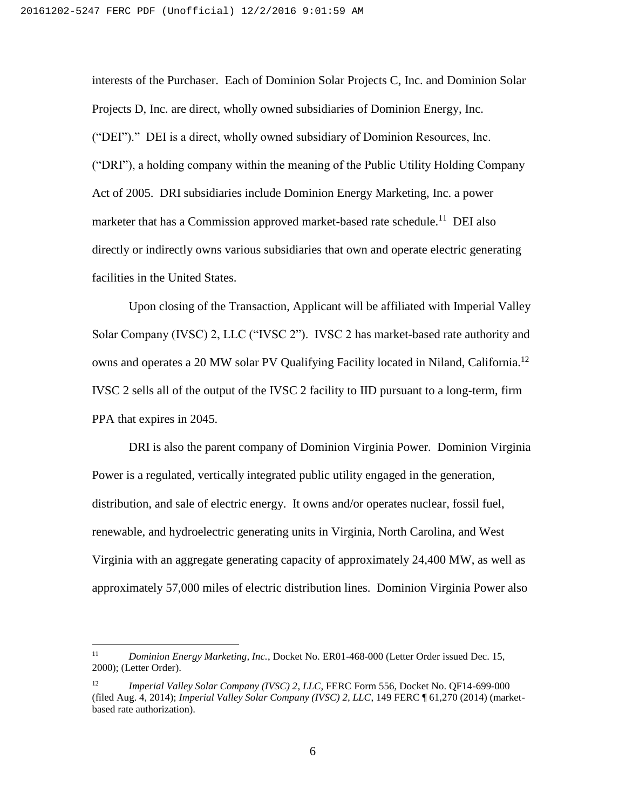interests of the Purchaser. Each of Dominion Solar Projects C, Inc. and Dominion Solar Projects D, Inc. are direct, wholly owned subsidiaries of Dominion Energy, Inc. ("DEI")." DEI is a direct, wholly owned subsidiary of Dominion Resources, Inc. ("DRI"), a holding company within the meaning of the Public Utility Holding Company Act of 2005. DRI subsidiaries include Dominion Energy Marketing, Inc. a power marketer that has a Commission approved market-based rate schedule.<sup>11</sup> DEI also directly or indirectly owns various subsidiaries that own and operate electric generating facilities in the United States.

Upon closing of the Transaction, Applicant will be affiliated with Imperial Valley Solar Company (IVSC) 2, LLC ("IVSC 2"). IVSC 2 has market-based rate authority and owns and operates a 20 MW solar PV Qualifying Facility located in Niland, California.<sup>12</sup> IVSC 2 sells all of the output of the IVSC 2 facility to IID pursuant to a long-term, firm PPA that expires in 2045.

DRI is also the parent company of Dominion Virginia Power. Dominion Virginia Power is a regulated, vertically integrated public utility engaged in the generation, distribution, and sale of electric energy. It owns and/or operates nuclear, fossil fuel, renewable, and hydroelectric generating units in Virginia, North Carolina, and West Virginia with an aggregate generating capacity of approximately 24,400 MW, as well as approximately 57,000 miles of electric distribution lines. Dominion Virginia Power also

<sup>&</sup>lt;sup>11</sup> *Dominion Energy Marketing, Inc., Docket No. ER01-468-000 (Letter Order issued Dec. 15,* 2000); (Letter Order).

<sup>12</sup> *Imperial Valley Solar Company (IVSC) 2*, *LLC*, FERC Form 556, Docket No. QF14-699-000 (filed Aug. 4, 2014); *Imperial Valley Solar Company (IVSC) 2, LLC*, 149 FERC ¶ 61,270 (2014) (marketbased rate authorization).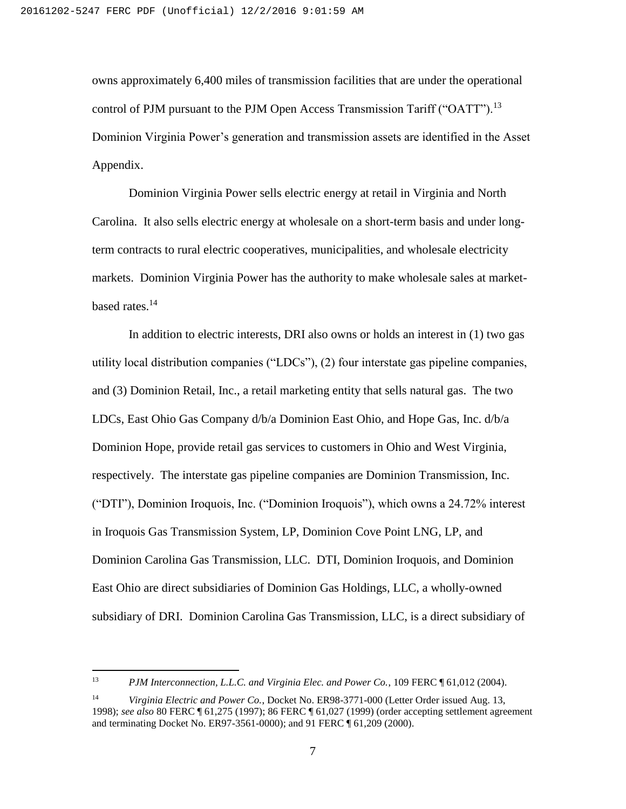owns approximately 6,400 miles of transmission facilities that are under the operational control of PJM pursuant to the PJM Open Access Transmission Tariff ("OATT").<sup>13</sup> Dominion Virginia Power's generation and transmission assets are identified in the Asset Appendix.

Dominion Virginia Power sells electric energy at retail in Virginia and North Carolina. It also sells electric energy at wholesale on a short-term basis and under longterm contracts to rural electric cooperatives, municipalities, and wholesale electricity markets. Dominion Virginia Power has the authority to make wholesale sales at marketbased rates.<sup>14</sup>

In addition to electric interests, DRI also owns or holds an interest in (1) two gas utility local distribution companies ("LDCs"), (2) four interstate gas pipeline companies, and (3) Dominion Retail, Inc., a retail marketing entity that sells natural gas. The two LDCs, East Ohio Gas Company d/b/a Dominion East Ohio, and Hope Gas, Inc. d/b/a Dominion Hope, provide retail gas services to customers in Ohio and West Virginia, respectively. The interstate gas pipeline companies are Dominion Transmission, Inc. ("DTI"), Dominion Iroquois, Inc. ("Dominion Iroquois"), which owns a 24.72% interest in Iroquois Gas Transmission System, LP, Dominion Cove Point LNG, LP, and Dominion Carolina Gas Transmission, LLC. DTI, Dominion Iroquois, and Dominion East Ohio are direct subsidiaries of Dominion Gas Holdings, LLC, a wholly-owned subsidiary of DRI. Dominion Carolina Gas Transmission, LLC, is a direct subsidiary of

 $13<sup>°</sup>$ <sup>13</sup> *PJM Interconnection, L.L.C. and Virginia Elec. and Power Co.*, 109 FERC ¶ 61,012 (2004).

<sup>14</sup> *Virginia Electric and Power Co.*, Docket No. ER98-3771-000 (Letter Order issued Aug. 13, 1998); *see also* 80 FERC ¶ 61,275 (1997); 86 FERC ¶ 61,027 (1999) (order accepting settlement agreement and terminating Docket No. ER97-3561-0000); and 91 FERC ¶ 61,209 (2000).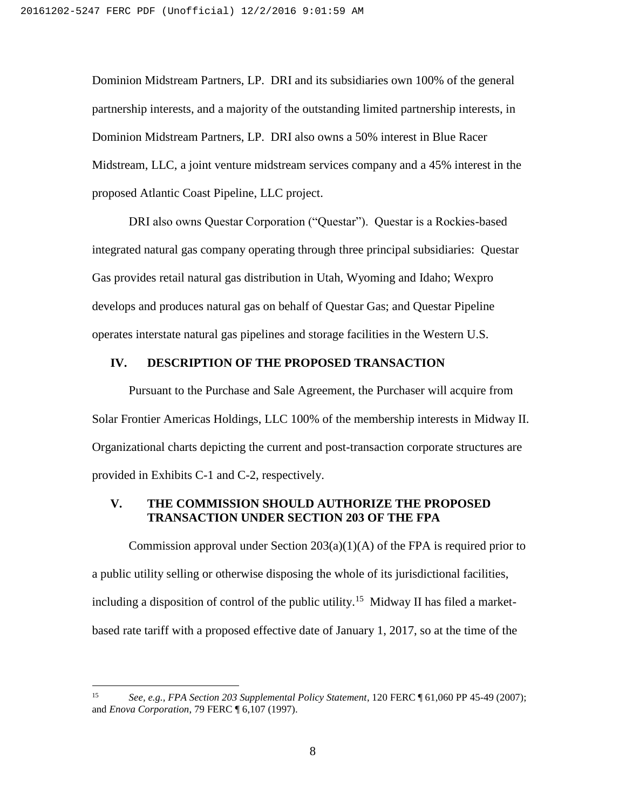Dominion Midstream Partners, LP. DRI and its subsidiaries own 100% of the general partnership interests, and a majority of the outstanding limited partnership interests, in Dominion Midstream Partners, LP. DRI also owns a 50% interest in Blue Racer Midstream, LLC, a joint venture midstream services company and a 45% interest in the proposed Atlantic Coast Pipeline, LLC project.

DRI also owns Questar Corporation ("Questar"). Questar is a Rockies-based integrated natural gas company operating through three principal subsidiaries: Questar Gas provides retail natural gas distribution in Utah, Wyoming and Idaho; Wexpro develops and produces natural gas on behalf of Questar Gas; and Questar Pipeline operates interstate natural gas pipelines and storage facilities in the Western U.S.

#### **IV. DESCRIPTION OF THE PROPOSED TRANSACTION**

Pursuant to the Purchase and Sale Agreement, the Purchaser will acquire from Solar Frontier Americas Holdings, LLC 100% of the membership interests in Midway II. Organizational charts depicting the current and post-transaction corporate structures are provided in Exhibits C-1 and C-2, respectively.

#### **V. THE COMMISSION SHOULD AUTHORIZE THE PROPOSED TRANSACTION UNDER SECTION 203 OF THE FPA**

Commission approval under Section  $203(a)(1)(A)$  of the FPA is required prior to a public utility selling or otherwise disposing the whole of its jurisdictional facilities, including a disposition of control of the public utility.<sup>15</sup> Midway II has filed a marketbased rate tariff with a proposed effective date of January 1, 2017, so at the time of the

<sup>15</sup> *See, e.g., FPA Section 203 Supplemental Policy Statement*, 120 FERC ¶ 61,060 PP 45-49 (2007); and *Enova Corporation*, 79 FERC ¶ 6,107 (1997).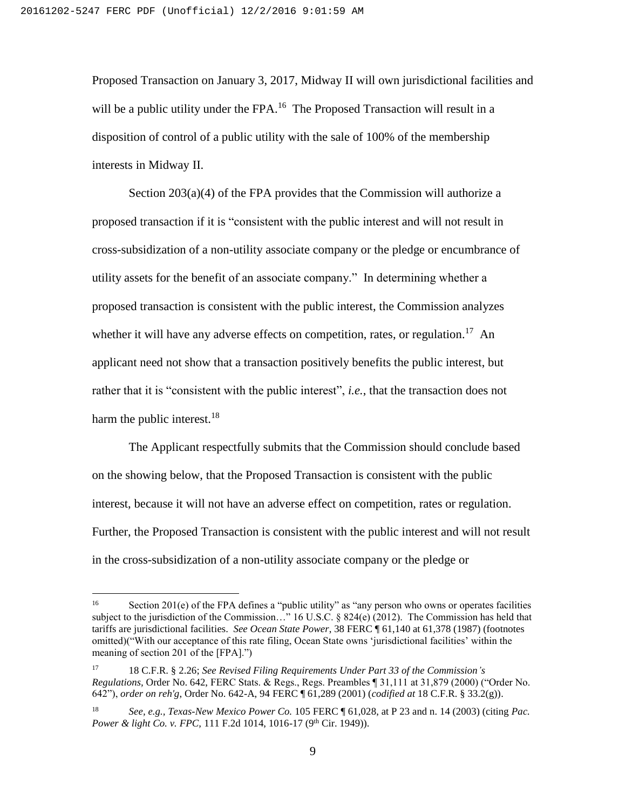Proposed Transaction on January 3, 2017, Midway II will own jurisdictional facilities and will be a public utility under the FPA.<sup>16</sup> The Proposed Transaction will result in a disposition of control of a public utility with the sale of 100% of the membership interests in Midway II.

Section 203(a)(4) of the FPA provides that the Commission will authorize a proposed transaction if it is "consistent with the public interest and will not result in cross-subsidization of a non-utility associate company or the pledge or encumbrance of utility assets for the benefit of an associate company." In determining whether a proposed transaction is consistent with the public interest, the Commission analyzes whether it will have any adverse effects on competition, rates, or regulation.<sup>17</sup> An applicant need not show that a transaction positively benefits the public interest, but rather that it is "consistent with the public interest", *i.e.*, that the transaction does not harm the public interest.<sup>18</sup>

The Applicant respectfully submits that the Commission should conclude based on the showing below, that the Proposed Transaction is consistent with the public interest, because it will not have an adverse effect on competition, rates or regulation. Further, the Proposed Transaction is consistent with the public interest and will not result in the cross-subsidization of a non-utility associate company or the pledge or

 $16\,$ Section 201(e) of the FPA defines a "public utility" as "any person who owns or operates facilities subject to the jurisdiction of the Commission…" 16 U.S.C. § 824(e) (2012). The Commission has held that tariffs are jurisdictional facilities. *See Ocean State Power*, 38 FERC ¶ 61,140 at 61,378 (1987) (footnotes omitted)("With our acceptance of this rate filing, Ocean State owns 'jurisdictional facilities' within the meaning of section 201 of the [FPA].")

<sup>17</sup> 18 C.F.R. § 2.26; *See Revised Filing Requirements Under Part 33 of the Commission's Regulations,* Order No. 642, FERC Stats. & Regs., Regs. Preambles ¶ 31,111 at 31,879 (2000) ("Order No. 642"), *order on reh'g*, Order No. 642-A, 94 FERC ¶ 61,289 (2001) (*codified at* 18 C.F.R. § 33.2(g)).

<sup>18</sup> *See, e.g., Texas-New Mexico Power Co.* 105 FERC ¶ 61,028, at P 23 and n. 14 (2003) (citing *Pac. Power & light Co. v. FPC, 111 F.2d 1014, 1016-17 (9<sup>th</sup> Cir. 1949)).*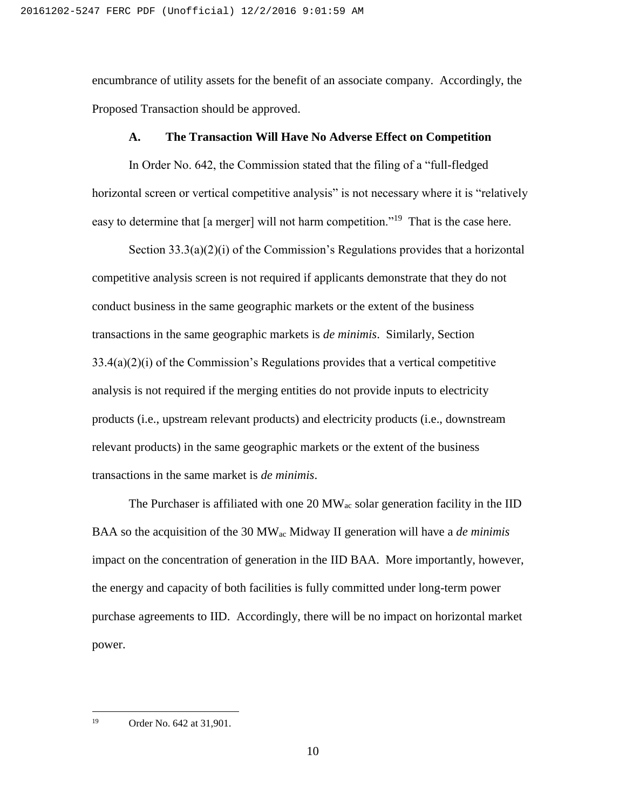encumbrance of utility assets for the benefit of an associate company. Accordingly, the Proposed Transaction should be approved.

#### **A. The Transaction Will Have No Adverse Effect on Competition**

In Order No. 642, the Commission stated that the filing of a "full-fledged horizontal screen or vertical competitive analysis" is not necessary where it is "relatively easy to determine that [a merger] will not harm competition."<sup>19</sup> That is the case here.

Section 33.3(a)(2)(i) of the Commission's Regulations provides that a horizontal competitive analysis screen is not required if applicants demonstrate that they do not conduct business in the same geographic markets or the extent of the business transactions in the same geographic markets is *de minimis*. Similarly, Section 33.4(a)(2)(i) of the Commission's Regulations provides that a vertical competitive analysis is not required if the merging entities do not provide inputs to electricity products (i.e., upstream relevant products) and electricity products (i.e., downstream relevant products) in the same geographic markets or the extent of the business transactions in the same market is *de minimis*.

The Purchaser is affiliated with one 20  $MW_{ac}$  solar generation facility in the IID BAA so the acquisition of the 30 MWac Midway II generation will have a *de minimis* impact on the concentration of generation in the IID BAA. More importantly, however, the energy and capacity of both facilities is fully committed under long-term power purchase agreements to IID. Accordingly, there will be no impact on horizontal market power.

19 Order No. 642 at 31,901.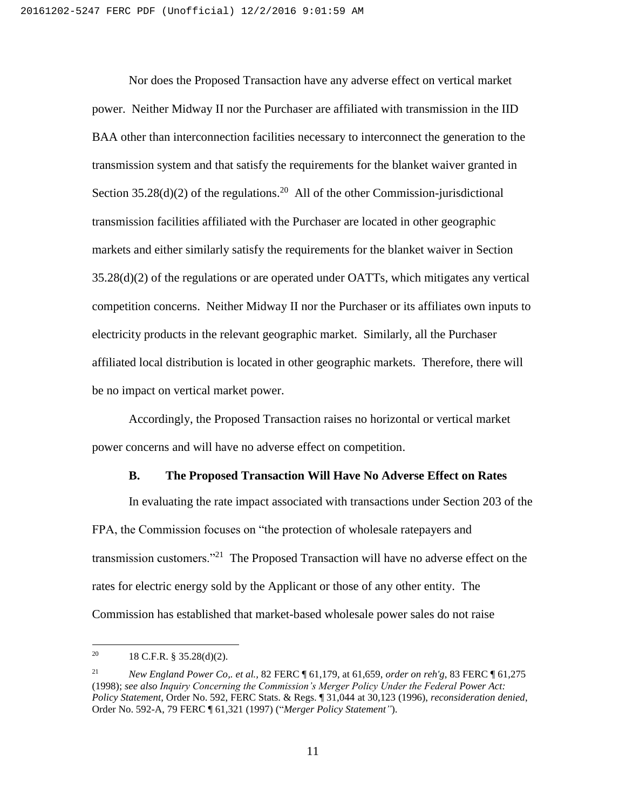Nor does the Proposed Transaction have any adverse effect on vertical market power. Neither Midway II nor the Purchaser are affiliated with transmission in the IID BAA other than interconnection facilities necessary to interconnect the generation to the transmission system and that satisfy the requirements for the blanket waiver granted in Section  $35.28(d)(2)$  of the regulations.<sup>20</sup> All of the other Commission-jurisdictional transmission facilities affiliated with the Purchaser are located in other geographic markets and either similarly satisfy the requirements for the blanket waiver in Section 35.28(d)(2) of the regulations or are operated under OATTs, which mitigates any vertical competition concerns. Neither Midway II nor the Purchaser or its affiliates own inputs to electricity products in the relevant geographic market. Similarly, all the Purchaser affiliated local distribution is located in other geographic markets. Therefore, there will be no impact on vertical market power.

Accordingly, the Proposed Transaction raises no horizontal or vertical market power concerns and will have no adverse effect on competition.

#### **B. The Proposed Transaction Will Have No Adverse Effect on Rates**

In evaluating the rate impact associated with transactions under Section 203 of the FPA, the Commission focuses on "the protection of wholesale ratepayers and transmission customers."<sup>21</sup> The Proposed Transaction will have no adverse effect on the rates for electric energy sold by the Applicant or those of any other entity. The Commission has established that market-based wholesale power sales do not raise

<sup>&</sup>lt;sup>20</sup> 18 C.F.R. § 35.28(d)(2).

<sup>21</sup> *New England Power Co,. et al.,* 82 FERC ¶ 61,179, at 61,659, *order on reh'g*, 83 FERC ¶ 61,275 (1998); *see also Inquiry Concerning the Commission's Merger Policy Under the Federal Power Act: Policy Statement*, Order No. 592, FERC Stats. & Regs. ¶ 31,044 at 30,123 (1996), *reconsideration denied*, Order No. 592-A, 79 FERC ¶ 61,321 (1997) ("*Merger Policy Statement"*).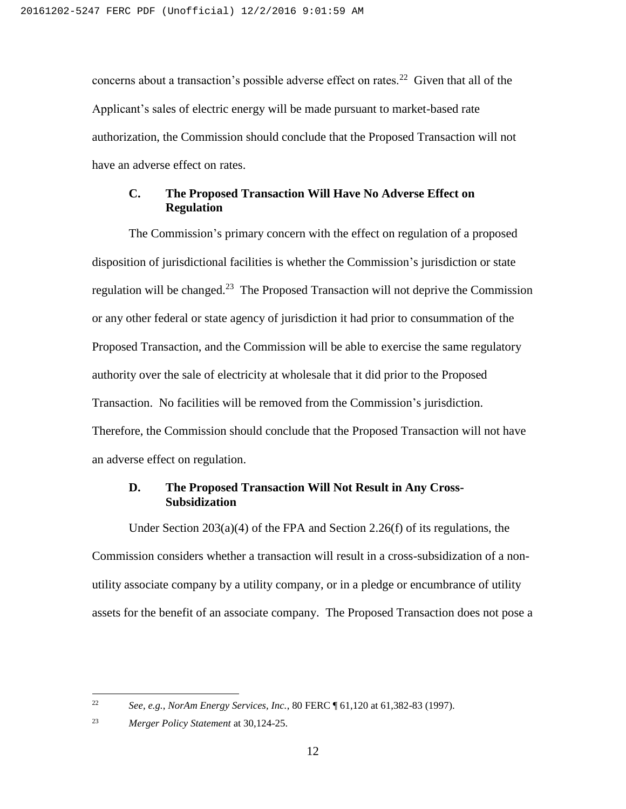concerns about a transaction's possible adverse effect on rates.<sup>22</sup> Given that all of the Applicant's sales of electric energy will be made pursuant to market-based rate authorization, the Commission should conclude that the Proposed Transaction will not have an adverse effect on rates.

#### **C. The Proposed Transaction Will Have No Adverse Effect on Regulation**

The Commission's primary concern with the effect on regulation of a proposed disposition of jurisdictional facilities is whether the Commission's jurisdiction or state regulation will be changed.<sup>23</sup> The Proposed Transaction will not deprive the Commission or any other federal or state agency of jurisdiction it had prior to consummation of the Proposed Transaction, and the Commission will be able to exercise the same regulatory authority over the sale of electricity at wholesale that it did prior to the Proposed Transaction. No facilities will be removed from the Commission's jurisdiction. Therefore, the Commission should conclude that the Proposed Transaction will not have an adverse effect on regulation.

### **D. The Proposed Transaction Will Not Result in Any Cross-Subsidization**

Under Section 203(a)(4) of the FPA and Section 2.26(f) of its regulations, the Commission considers whether a transaction will result in a cross-subsidization of a nonutility associate company by a utility company, or in a pledge or encumbrance of utility assets for the benefit of an associate company. The Proposed Transaction does not pose a

<sup>22</sup> *See, e.g.*, *NorAm Energy Services, Inc.*, 80 FERC ¶ 61,120 at 61,382-83 (1997).

<sup>23</sup> *Merger Policy Statement* at 30,124-25.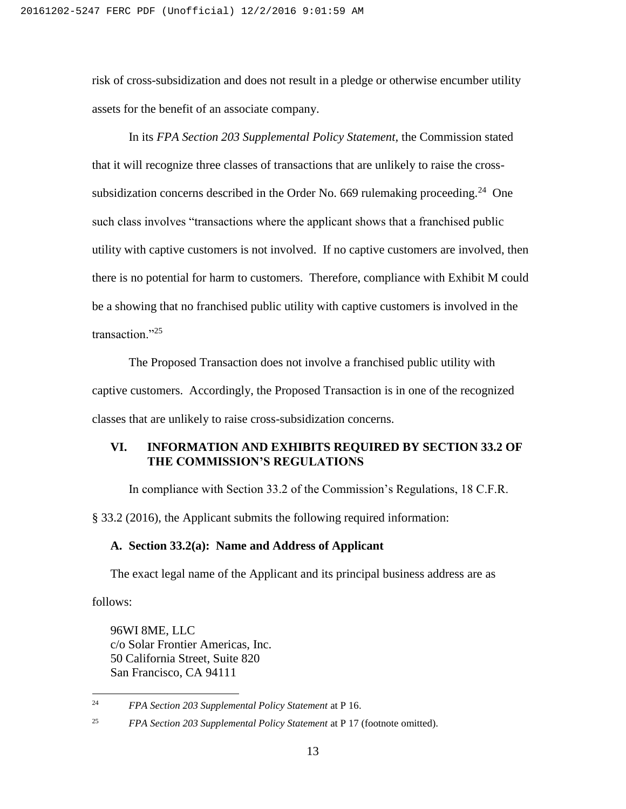risk of cross-subsidization and does not result in a pledge or otherwise encumber utility assets for the benefit of an associate company.

In its *FPA Section 203 Supplemental Policy Statement,* the Commission stated that it will recognize three classes of transactions that are unlikely to raise the crosssubsidization concerns described in the Order No. 669 rulemaking proceeding.<sup>24</sup> One such class involves "transactions where the applicant shows that a franchised public utility with captive customers is not involved. If no captive customers are involved, then there is no potential for harm to customers. Therefore, compliance with Exhibit M could be a showing that no franchised public utility with captive customers is involved in the transaction."<sup>25</sup>

The Proposed Transaction does not involve a franchised public utility with captive customers. Accordingly, the Proposed Transaction is in one of the recognized classes that are unlikely to raise cross-subsidization concerns.

#### **VI. INFORMATION AND EXHIBITS REQUIRED BY SECTION 33.2 OF THE COMMISSION'S REGULATIONS**

In compliance with Section 33.2 of the Commission's Regulations, 18 C.F.R.

§ 33.2 (2016), the Applicant submits the following required information:

#### **A. Section 33.2(a): Name and Address of Applicant**

The exact legal name of the Applicant and its principal business address are as

follows:

 $\overline{a}$ 

96WI 8ME, LLC c/o Solar Frontier Americas, Inc. 50 California Street, Suite 820 San Francisco, CA 94111

<sup>24</sup> *FPA Section 203 Supplemental Policy Statement* at P 16.

<sup>25</sup> *FPA Section 203 Supplemental Policy Statement* at P 17 (footnote omitted).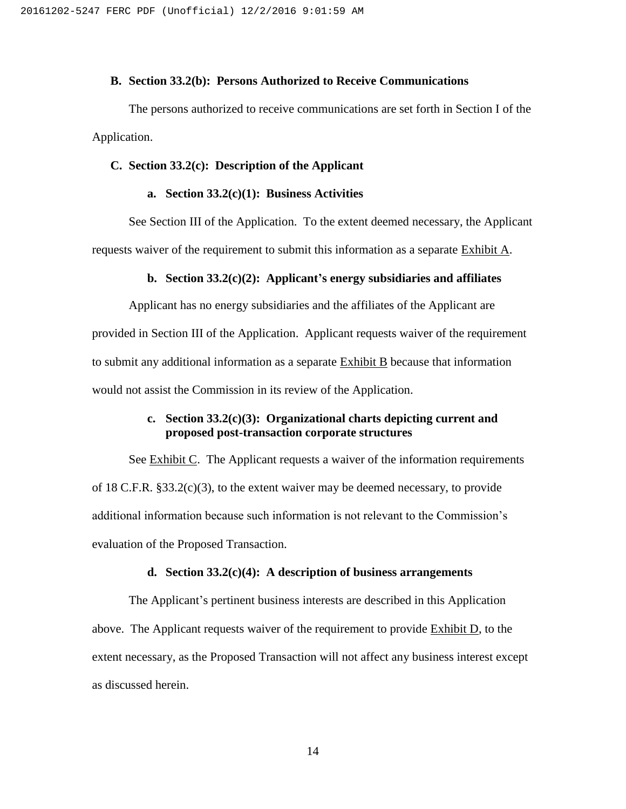#### **B. Section 33.2(b): Persons Authorized to Receive Communications**

The persons authorized to receive communications are set forth in Section I of the Application.

#### **C. Section 33.2(c): Description of the Applicant**

#### **a. Section 33.2(c)(1): Business Activities**

See Section III of the Application. To the extent deemed necessary, the Applicant requests waiver of the requirement to submit this information as a separate Exhibit A.

#### **b. Section 33.2(c)(2): Applicant's energy subsidiaries and affiliates**

Applicant has no energy subsidiaries and the affiliates of the Applicant are provided in Section III of the Application. Applicant requests waiver of the requirement to submit any additional information as a separate Exhibit B because that information would not assist the Commission in its review of the Application.

#### **c. Section 33.2(c)(3): Organizational charts depicting current and proposed post-transaction corporate structures**

See Exhibit C. The Applicant requests a waiver of the information requirements of 18 C.F.R. §33.2(c)(3), to the extent waiver may be deemed necessary, to provide additional information because such information is not relevant to the Commission's evaluation of the Proposed Transaction.

#### **d. Section 33.2(c)(4): A description of business arrangements**

The Applicant's pertinent business interests are described in this Application above. The Applicant requests waiver of the requirement to provide Exhibit D, to the extent necessary, as the Proposed Transaction will not affect any business interest except as discussed herein.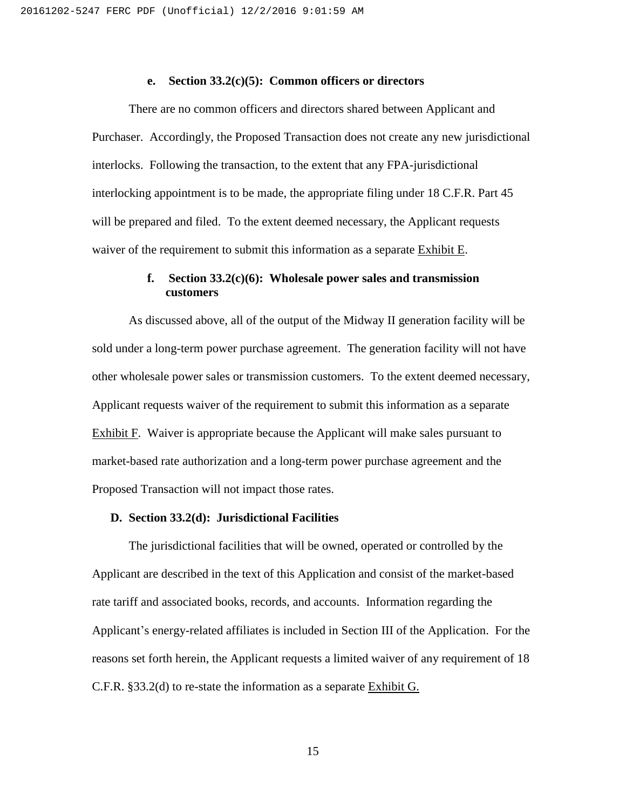#### **e. Section 33.2(c)(5): Common officers or directors**

There are no common officers and directors shared between Applicant and Purchaser. Accordingly, the Proposed Transaction does not create any new jurisdictional interlocks. Following the transaction, to the extent that any FPA-jurisdictional interlocking appointment is to be made, the appropriate filing under 18 C.F.R. Part 45 will be prepared and filed. To the extent deemed necessary, the Applicant requests waiver of the requirement to submit this information as a separate Exhibit E.

#### **f. Section 33.2(c)(6): Wholesale power sales and transmission customers**

As discussed above, all of the output of the Midway II generation facility will be sold under a long-term power purchase agreement. The generation facility will not have other wholesale power sales or transmission customers. To the extent deemed necessary, Applicant requests waiver of the requirement to submit this information as a separate Exhibit F. Waiver is appropriate because the Applicant will make sales pursuant to market-based rate authorization and a long-term power purchase agreement and the Proposed Transaction will not impact those rates.

#### **D. Section 33.2(d): Jurisdictional Facilities**

The jurisdictional facilities that will be owned, operated or controlled by the Applicant are described in the text of this Application and consist of the market-based rate tariff and associated books, records, and accounts. Information regarding the Applicant's energy-related affiliates is included in Section III of the Application. For the reasons set forth herein, the Applicant requests a limited waiver of any requirement of 18 C.F.R. §33.2(d) to re-state the information as a separate Exhibit G.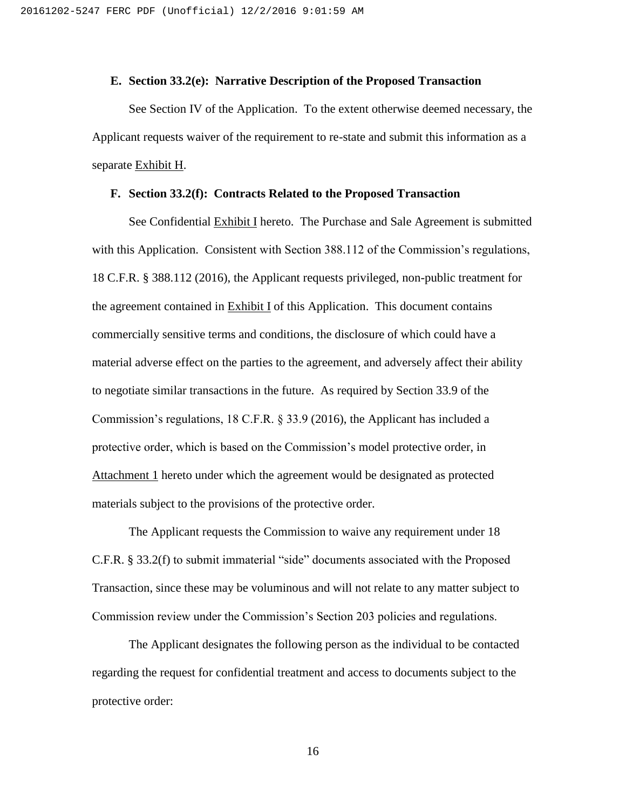#### **E. Section 33.2(e): Narrative Description of the Proposed Transaction**

 See Section IV of the Application. To the extent otherwise deemed necessary, the Applicant requests waiver of the requirement to re-state and submit this information as a separate Exhibit H.

#### **F. Section 33.2(f): Contracts Related to the Proposed Transaction**

See Confidential Exhibit I hereto. The Purchase and Sale Agreement is submitted with this Application. Consistent with Section 388.112 of the Commission's regulations, 18 C.F.R. § 388.112 (2016), the Applicant requests privileged, non-public treatment for the agreement contained in Exhibit I of this Application. This document contains commercially sensitive terms and conditions, the disclosure of which could have a material adverse effect on the parties to the agreement, and adversely affect their ability to negotiate similar transactions in the future. As required by Section 33.9 of the Commission's regulations, 18 C.F.R. § 33.9 (2016), the Applicant has included a protective order, which is based on the Commission's model protective order, in Attachment 1 hereto under which the agreement would be designated as protected materials subject to the provisions of the protective order.

The Applicant requests the Commission to waive any requirement under 18 C.F.R. § 33.2(f) to submit immaterial "side" documents associated with the Proposed Transaction, since these may be voluminous and will not relate to any matter subject to Commission review under the Commission's Section 203 policies and regulations.

The Applicant designates the following person as the individual to be contacted regarding the request for confidential treatment and access to documents subject to the protective order:

16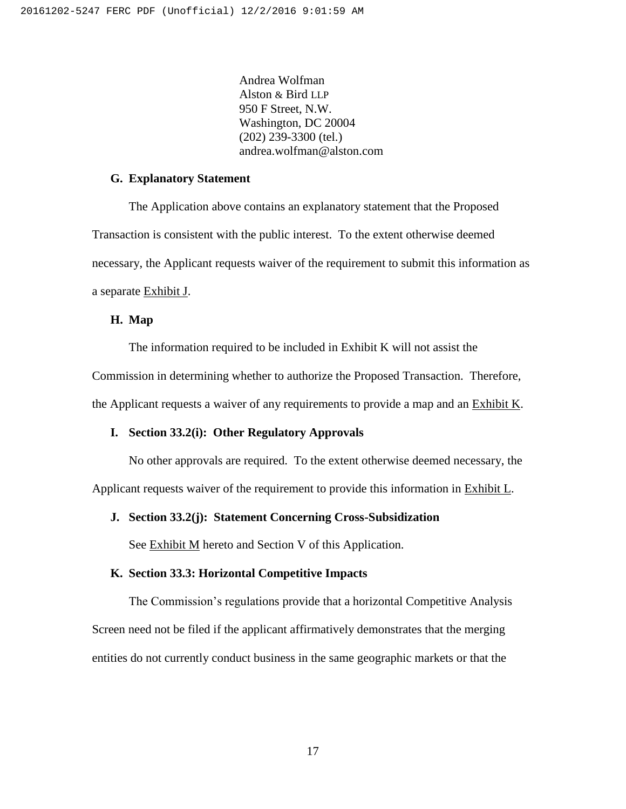Andrea Wolfman Alston & Bird LLP 950 F Street, N.W. Washington, DC 20004 (202) 239-3300 (tel.) andrea.wolfman@alston.com

#### **G. Explanatory Statement**

The Application above contains an explanatory statement that the Proposed Transaction is consistent with the public interest. To the extent otherwise deemed necessary, the Applicant requests waiver of the requirement to submit this information as a separate Exhibit J.

#### **H. Map**

The information required to be included in Exhibit K will not assist the Commission in determining whether to authorize the Proposed Transaction. Therefore, the Applicant requests a waiver of any requirements to provide a map and an  $Exhibit K$ .

#### **I. Section 33.2(i): Other Regulatory Approvals**

No other approvals are required. To the extent otherwise deemed necessary, the Applicant requests waiver of the requirement to provide this information in Exhibit L.

#### **J. Section 33.2(j): Statement Concerning Cross-Subsidization**

See Exhibit M hereto and Section V of this Application.

#### **K. Section 33.3: Horizontal Competitive Impacts**

The Commission's regulations provide that a horizontal Competitive Analysis Screen need not be filed if the applicant affirmatively demonstrates that the merging entities do not currently conduct business in the same geographic markets or that the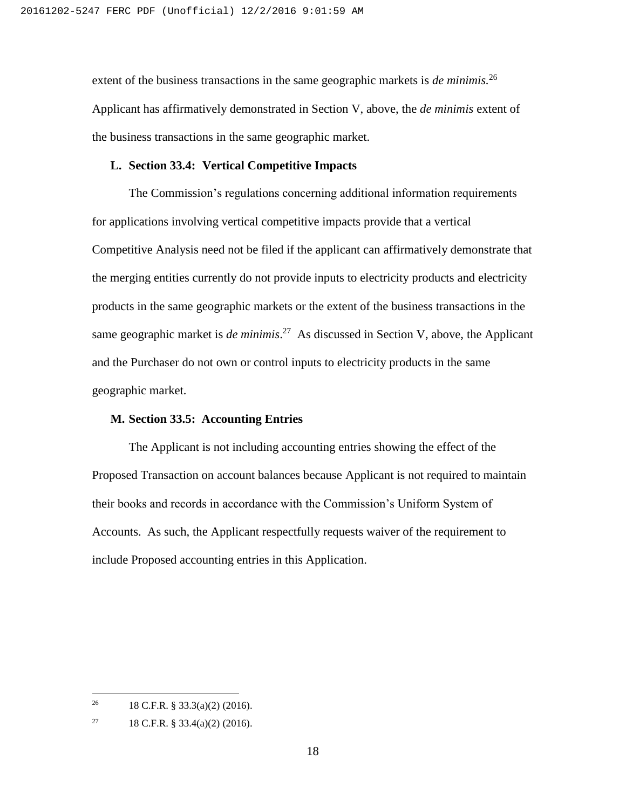extent of the business transactions in the same geographic markets is *de minimis.*<sup>26</sup> Applicant has affirmatively demonstrated in Section V, above, the *de minimis* extent of the business transactions in the same geographic market.

#### **L. Section 33.4: Vertical Competitive Impacts**

The Commission's regulations concerning additional information requirements for applications involving vertical competitive impacts provide that a vertical Competitive Analysis need not be filed if the applicant can affirmatively demonstrate that the merging entities currently do not provide inputs to electricity products and electricity products in the same geographic markets or the extent of the business transactions in the same geographic market is *de minimis*. 27 As discussed in Section V, above, the Applicant and the Purchaser do not own or control inputs to electricity products in the same geographic market.

#### **M. Section 33.5: Accounting Entries**

The Applicant is not including accounting entries showing the effect of the Proposed Transaction on account balances because Applicant is not required to maintain their books and records in accordance with the Commission's Uniform System of Accounts. As such, the Applicant respectfully requests waiver of the requirement to include Proposed accounting entries in this Application.

<sup>&</sup>lt;sup>26</sup> 18 C.F.R. § 33.3(a)(2) (2016).

<sup>&</sup>lt;sup>27</sup> 18 C.F.R. § 33.4(a)(2) (2016).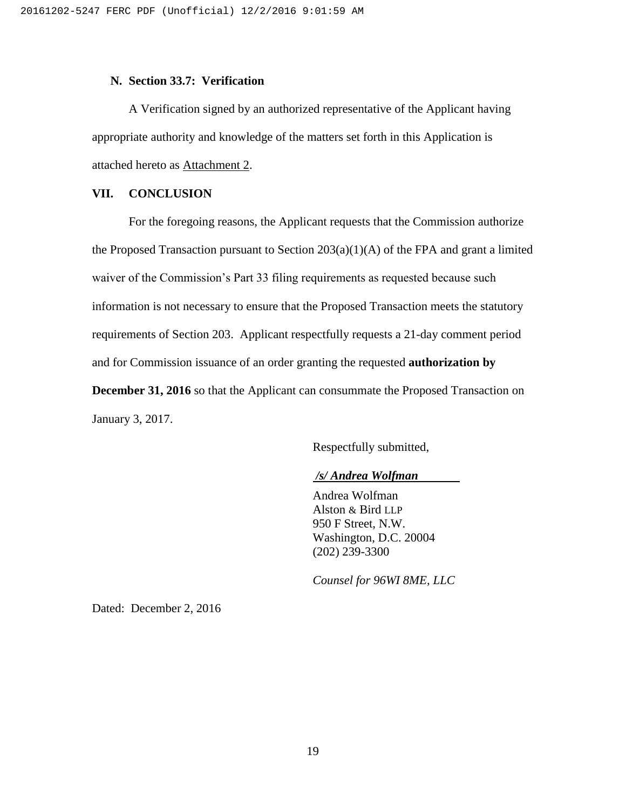#### **N. Section 33.7: Verification**

A Verification signed by an authorized representative of the Applicant having appropriate authority and knowledge of the matters set forth in this Application is attached hereto as Attachment 2.

#### **VII. CONCLUSION**

For the foregoing reasons, the Applicant requests that the Commission authorize the Proposed Transaction pursuant to Section  $203(a)(1)(A)$  of the FPA and grant a limited waiver of the Commission's Part 33 filing requirements as requested because such information is not necessary to ensure that the Proposed Transaction meets the statutory requirements of Section 203. Applicant respectfully requests a 21-day comment period and for Commission issuance of an order granting the requested **authorization by December 31, 2016** so that the Applicant can consummate the Proposed Transaction on January 3, 2017.

Respectfully submitted,

#### */s/ Andrea Wolfman*

Andrea Wolfman Alston & Bird LLP 950 F Street, N.W. Washington, D.C. 20004 (202) 239-3300

*Counsel for 96WI 8ME, LLC*

Dated: December 2, 2016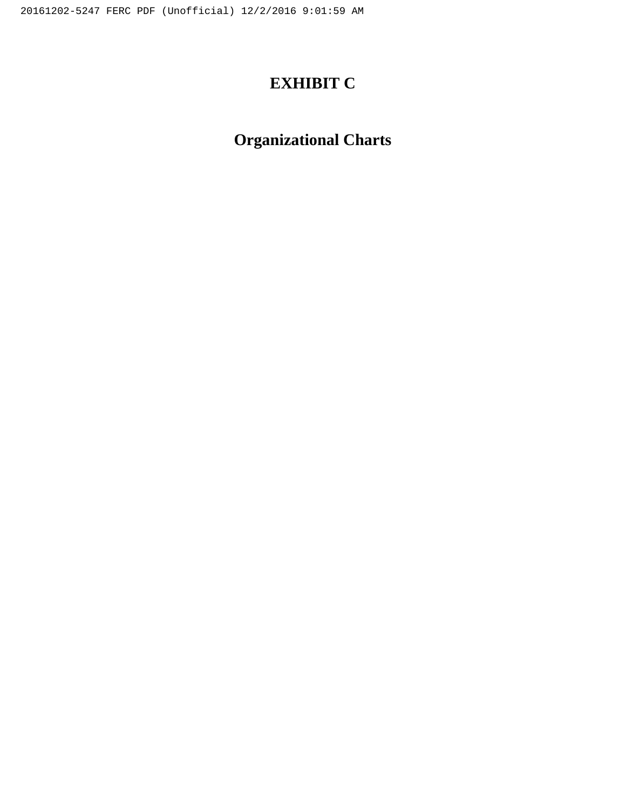# **EXHIBIT C**

# **Organizational Charts**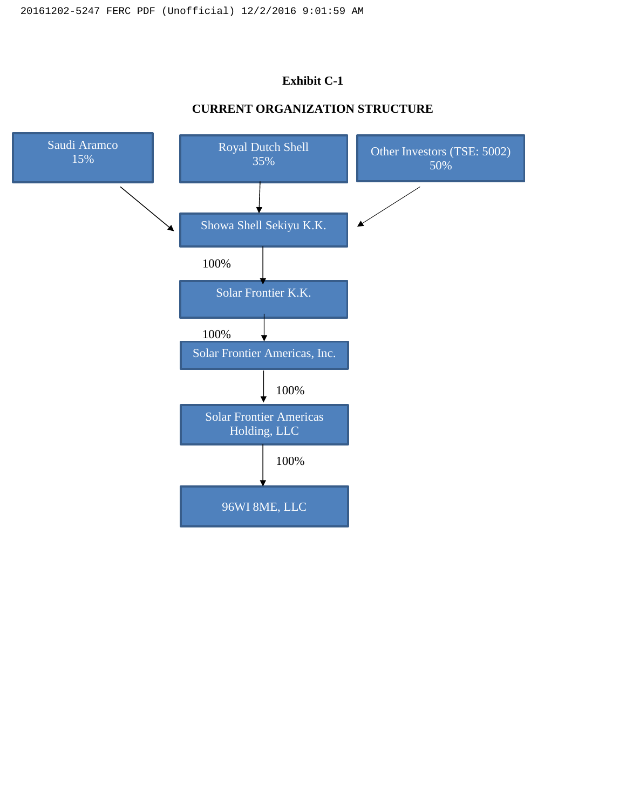### **Exhibit C-1**

### **CURRENT ORGANIZATION STRUCTURE**

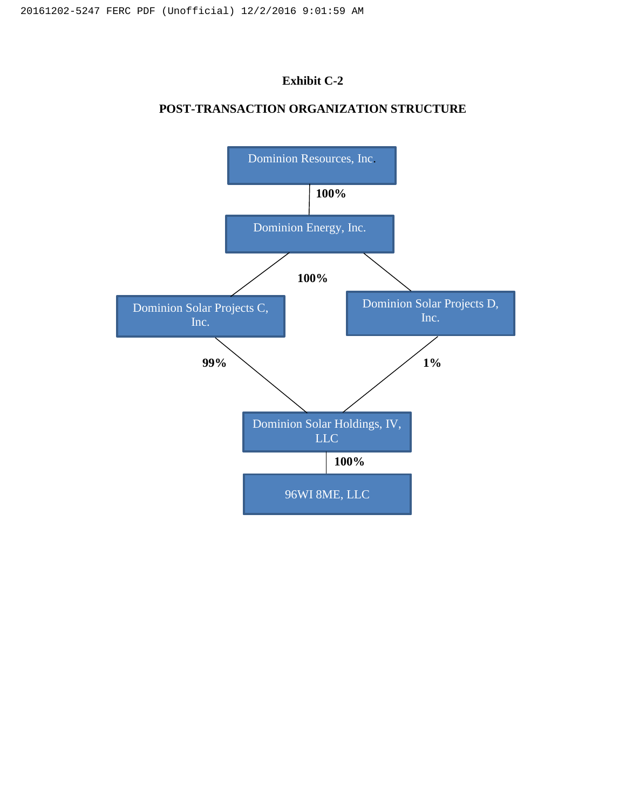### **Exhibit C-2**

### **POST-TRANSACTION ORGANIZATION STRUCTURE**

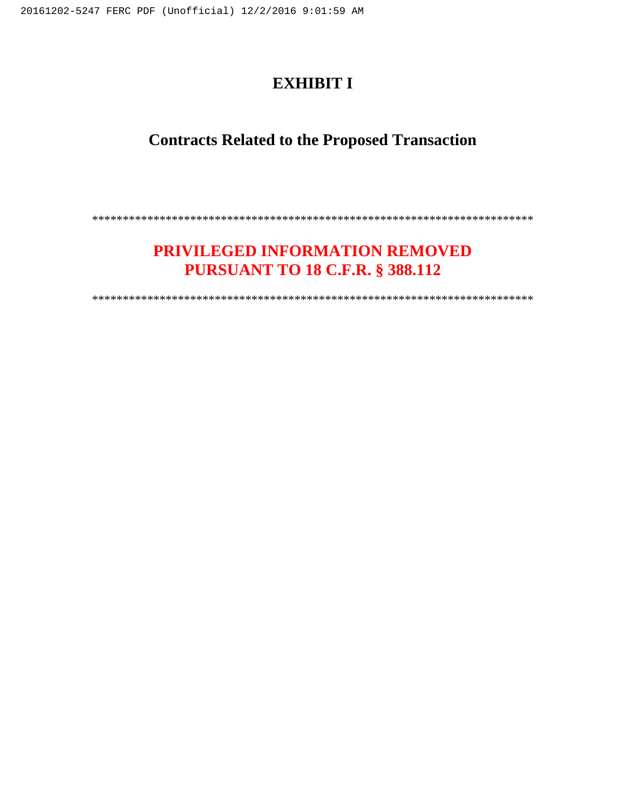### **EXHIBIT I**

### **Contracts Related to the Proposed Transaction**

\*\*\*\*\*\*\*\*\*\*\*\*\*\*\*\*\*\*\*\*\*\*\*\*\*\*\*\*\*\*\*\*\*\*\*\*\*\*\*\*\*\*\*\*\*\*\*\*\*\*\*\*\*\*\*\*\*\*\*\*\*\*\*\*\*\*\*\*\*\*\*\*

### **PRIVILEGED INFORMATION REMOVED PURSUANT TO 18 C.F.R. § 388.112**

\*\*\*\*\*\*\*\*\*\*\*\*\*\*\*\*\*\*\*\*\*\*\*\*\*\*\*\*\*\*\*\*\*\*\*\*\*\*\*\*\*\*\*\*\*\*\*\*\*\*\*\*\*\*\*\*\*\*\*\*\*\*\*\*\*\*\*\*\*\*\*\*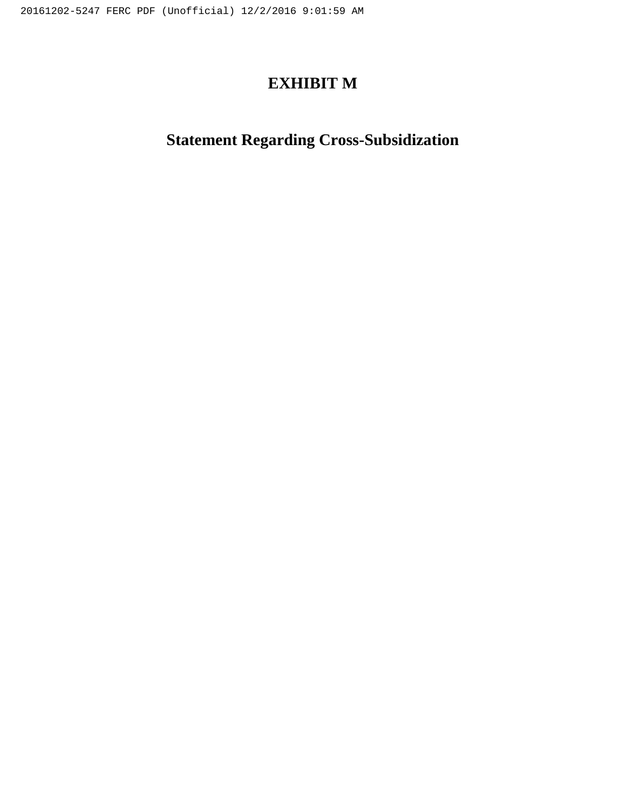### **EXHIBIT M**

# **Statement Regarding Cross-Subsidization**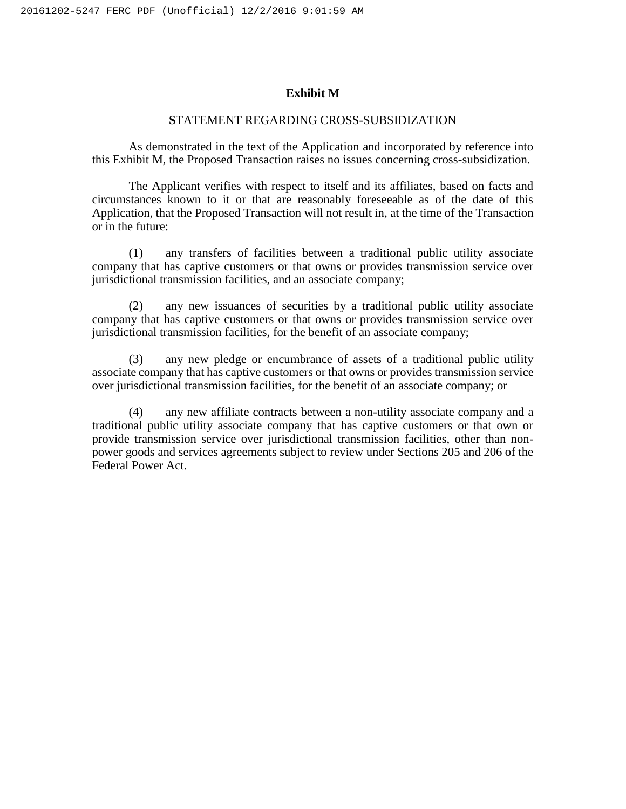#### **Exhibit M**

#### **S**TATEMENT REGARDING CROSS-SUBSIDIZATION

As demonstrated in the text of the Application and incorporated by reference into this Exhibit M, the Proposed Transaction raises no issues concerning cross-subsidization.

The Applicant verifies with respect to itself and its affiliates, based on facts and circumstances known to it or that are reasonably foreseeable as of the date of this Application, that the Proposed Transaction will not result in, at the time of the Transaction or in the future:

(1) any transfers of facilities between a traditional public utility associate company that has captive customers or that owns or provides transmission service over jurisdictional transmission facilities, and an associate company;

(2) any new issuances of securities by a traditional public utility associate company that has captive customers or that owns or provides transmission service over jurisdictional transmission facilities, for the benefit of an associate company;

(3) any new pledge or encumbrance of assets of a traditional public utility associate company that has captive customers or that owns or provides transmission service over jurisdictional transmission facilities, for the benefit of an associate company; or

(4) any new affiliate contracts between a non-utility associate company and a traditional public utility associate company that has captive customers or that own or provide transmission service over jurisdictional transmission facilities, other than nonpower goods and services agreements subject to review under Sections 205 and 206 of the Federal Power Act.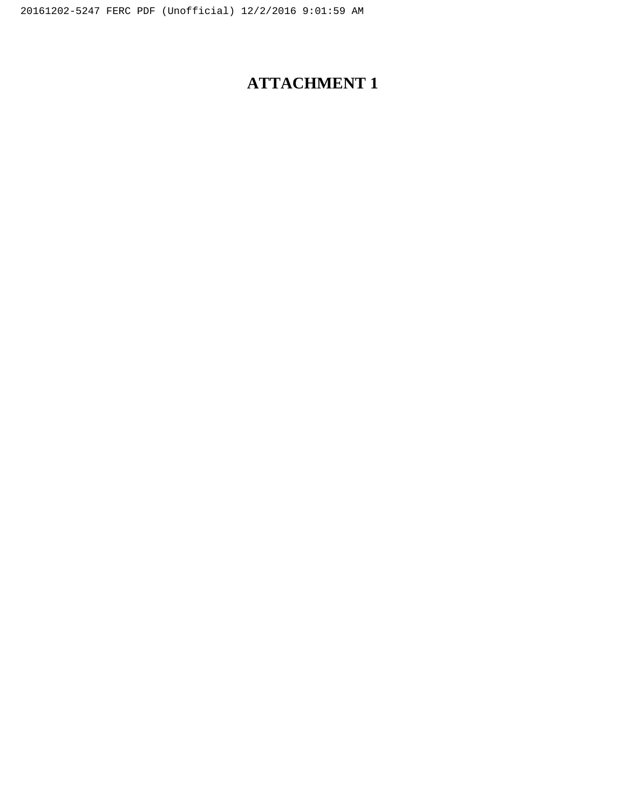# **ATTACHMENT 1**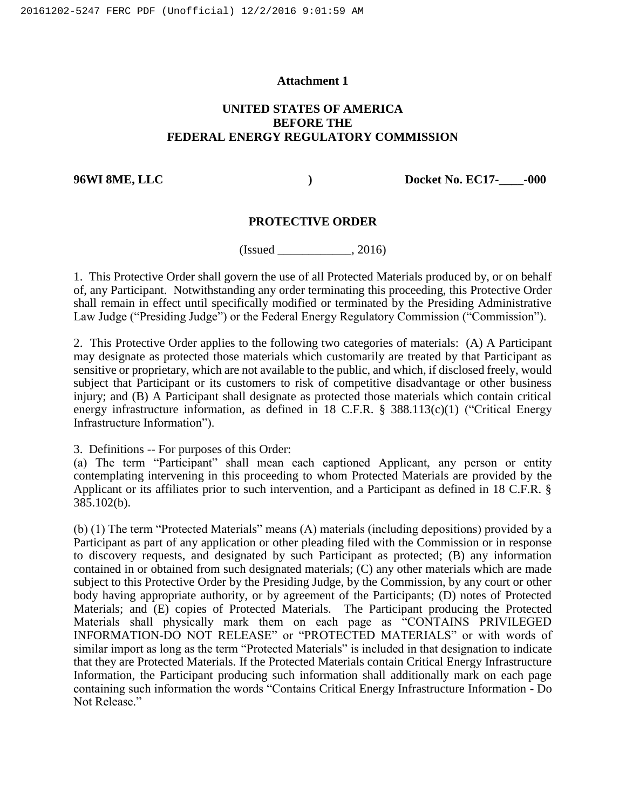#### **Attachment 1**

#### **UNITED STATES OF AMERICA BEFORE THE FEDERAL ENERGY REGULATORY COMMISSION**

**96WI 8ME, LLC ) Docket No. EC17-\_\_\_\_-000**

#### **PROTECTIVE ORDER**

 $(Issued \_$ , 2016)

1. This Protective Order shall govern the use of all Protected Materials produced by, or on behalf of, any Participant. Notwithstanding any order terminating this proceeding, this Protective Order shall remain in effect until specifically modified or terminated by the Presiding Administrative Law Judge ("Presiding Judge") or the Federal Energy Regulatory Commission ("Commission").

2. This Protective Order applies to the following two categories of materials: (A) A Participant may designate as protected those materials which customarily are treated by that Participant as sensitive or proprietary, which are not available to the public, and which, if disclosed freely, would subject that Participant or its customers to risk of competitive disadvantage or other business injury; and (B) A Participant shall designate as protected those materials which contain critical energy infrastructure information, as defined in 18 C.F.R. § 388.113(c)(1) ("Critical Energy Infrastructure Information").

3. Definitions -- For purposes of this Order:

(a) The term "Participant" shall mean each captioned Applicant, any person or entity contemplating intervening in this proceeding to whom Protected Materials are provided by the Applicant or its affiliates prior to such intervention, and a Participant as defined in 18 C.F.R. § 385.102(b).

(b) (1) The term "Protected Materials" means (A) materials (including depositions) provided by a Participant as part of any application or other pleading filed with the Commission or in response to discovery requests, and designated by such Participant as protected; (B) any information contained in or obtained from such designated materials; (C) any other materials which are made subject to this Protective Order by the Presiding Judge, by the Commission, by any court or other body having appropriate authority, or by agreement of the Participants; (D) notes of Protected Materials; and (E) copies of Protected Materials. The Participant producing the Protected Materials shall physically mark them on each page as "CONTAINS PRIVILEGED INFORMATION-DO NOT RELEASE" or "PROTECTED MATERIALS" or with words of similar import as long as the term "Protected Materials" is included in that designation to indicate that they are Protected Materials. If the Protected Materials contain Critical Energy Infrastructure Information, the Participant producing such information shall additionally mark on each page containing such information the words "Contains Critical Energy Infrastructure Information - Do Not Release."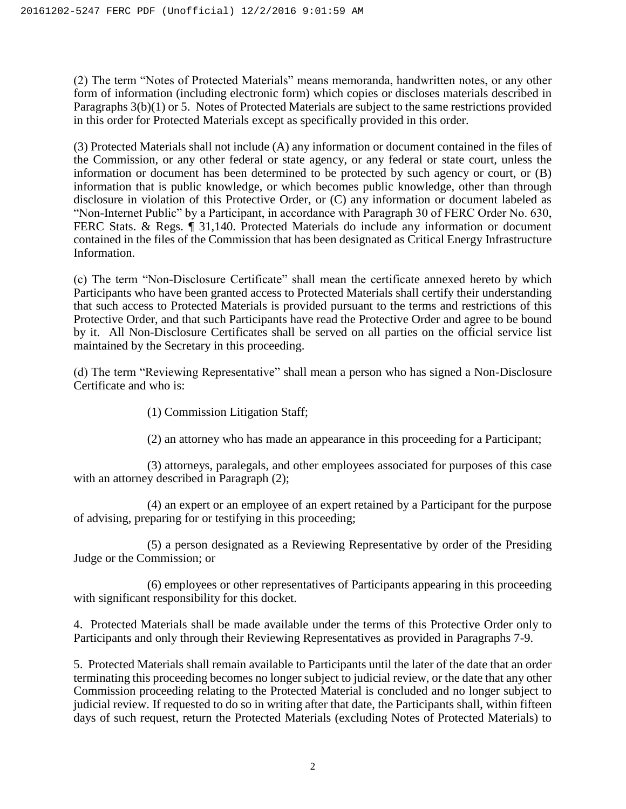(2) The term "Notes of Protected Materials" means memoranda, handwritten notes, or any other form of information (including electronic form) which copies or discloses materials described in Paragraphs 3(b)(1) or 5. Notes of Protected Materials are subject to the same restrictions provided in this order for Protected Materials except as specifically provided in this order.

(3) Protected Materials shall not include (A) any information or document contained in the files of the Commission, or any other federal or state agency, or any federal or state court, unless the information or document has been determined to be protected by such agency or court, or (B) information that is public knowledge, or which becomes public knowledge, other than through disclosure in violation of this Protective Order, or (C) any information or document labeled as "Non-Internet Public" by a Participant, in accordance with Paragraph 30 of FERC Order No. 630, FERC Stats. & Regs.  $\parallel$  31,140. Protected Materials do include any information or document contained in the files of the Commission that has been designated as Critical Energy Infrastructure Information.

(c) The term "Non-Disclosure Certificate" shall mean the certificate annexed hereto by which Participants who have been granted access to Protected Materials shall certify their understanding that such access to Protected Materials is provided pursuant to the terms and restrictions of this Protective Order, and that such Participants have read the Protective Order and agree to be bound by it. All Non-Disclosure Certificates shall be served on all parties on the official service list maintained by the Secretary in this proceeding.

(d) The term "Reviewing Representative" shall mean a person who has signed a Non-Disclosure Certificate and who is:

(1) Commission Litigation Staff;

(2) an attorney who has made an appearance in this proceeding for a Participant;

(3) attorneys, paralegals, and other employees associated for purposes of this case with an attorney described in Paragraph  $(2)$ ;

(4) an expert or an employee of an expert retained by a Participant for the purpose of advising, preparing for or testifying in this proceeding;

(5) a person designated as a Reviewing Representative by order of the Presiding Judge or the Commission; or

(6) employees or other representatives of Participants appearing in this proceeding with significant responsibility for this docket.

4. Protected Materials shall be made available under the terms of this Protective Order only to Participants and only through their Reviewing Representatives as provided in Paragraphs 7-9.

5. Protected Materials shall remain available to Participants until the later of the date that an order terminating this proceeding becomes no longer subject to judicial review, or the date that any other Commission proceeding relating to the Protected Material is concluded and no longer subject to judicial review. If requested to do so in writing after that date, the Participants shall, within fifteen days of such request, return the Protected Materials (excluding Notes of Protected Materials) to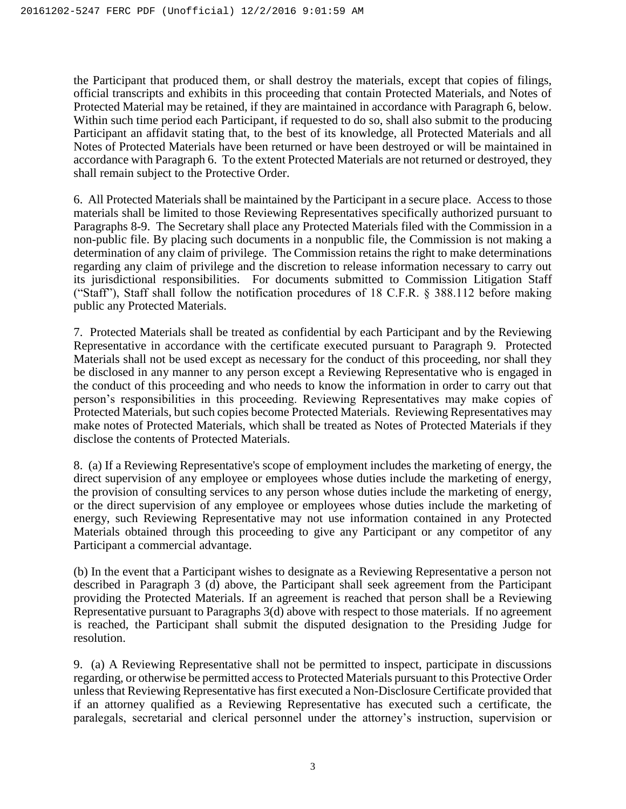the Participant that produced them, or shall destroy the materials, except that copies of filings, official transcripts and exhibits in this proceeding that contain Protected Materials, and Notes of Protected Material may be retained, if they are maintained in accordance with Paragraph 6, below. Within such time period each Participant, if requested to do so, shall also submit to the producing Participant an affidavit stating that, to the best of its knowledge, all Protected Materials and all Notes of Protected Materials have been returned or have been destroyed or will be maintained in accordance with Paragraph 6. To the extent Protected Materials are not returned or destroyed, they shall remain subject to the Protective Order.

6. All Protected Materials shall be maintained by the Participant in a secure place. Access to those materials shall be limited to those Reviewing Representatives specifically authorized pursuant to Paragraphs 8-9. The Secretary shall place any Protected Materials filed with the Commission in a non-public file. By placing such documents in a nonpublic file, the Commission is not making a determination of any claim of privilege. The Commission retains the right to make determinations regarding any claim of privilege and the discretion to release information necessary to carry out its jurisdictional responsibilities. For documents submitted to Commission Litigation Staff ("Staff"), Staff shall follow the notification procedures of 18 C.F.R. § 388.112 before making public any Protected Materials.

7. Protected Materials shall be treated as confidential by each Participant and by the Reviewing Representative in accordance with the certificate executed pursuant to Paragraph 9. Protected Materials shall not be used except as necessary for the conduct of this proceeding, nor shall they be disclosed in any manner to any person except a Reviewing Representative who is engaged in the conduct of this proceeding and who needs to know the information in order to carry out that person's responsibilities in this proceeding. Reviewing Representatives may make copies of Protected Materials, but such copies become Protected Materials. Reviewing Representatives may make notes of Protected Materials, which shall be treated as Notes of Protected Materials if they disclose the contents of Protected Materials.

8. (a) If a Reviewing Representative's scope of employment includes the marketing of energy, the direct supervision of any employee or employees whose duties include the marketing of energy, the provision of consulting services to any person whose duties include the marketing of energy, or the direct supervision of any employee or employees whose duties include the marketing of energy, such Reviewing Representative may not use information contained in any Protected Materials obtained through this proceeding to give any Participant or any competitor of any Participant a commercial advantage.

(b) In the event that a Participant wishes to designate as a Reviewing Representative a person not described in Paragraph 3 (d) above, the Participant shall seek agreement from the Participant providing the Protected Materials. If an agreement is reached that person shall be a Reviewing Representative pursuant to Paragraphs 3(d) above with respect to those materials. If no agreement is reached, the Participant shall submit the disputed designation to the Presiding Judge for resolution.

9. (a) A Reviewing Representative shall not be permitted to inspect, participate in discussions regarding, or otherwise be permitted access to Protected Materials pursuant to this Protective Order unless that Reviewing Representative has first executed a Non-Disclosure Certificate provided that if an attorney qualified as a Reviewing Representative has executed such a certificate, the paralegals, secretarial and clerical personnel under the attorney's instruction, supervision or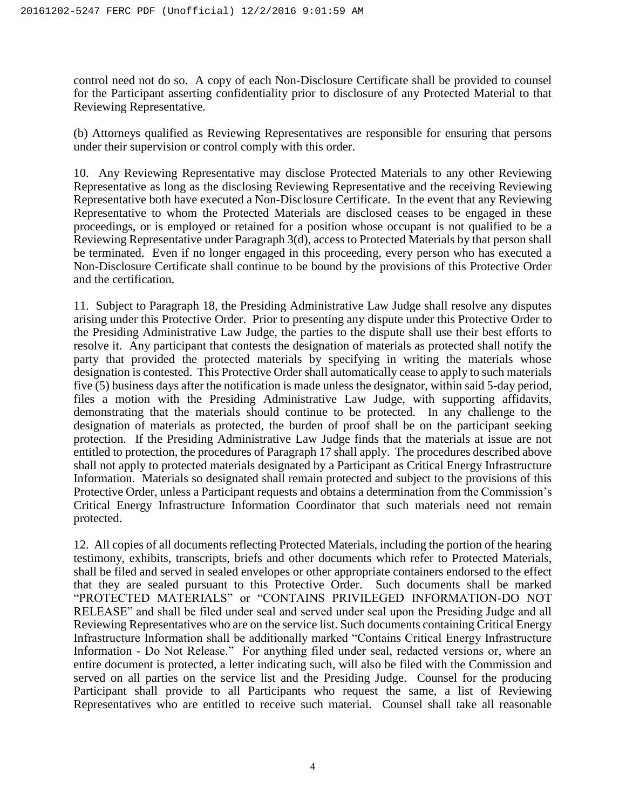control need not do so. A copy of each Non-Disclosure Certificate shall be provided to counsel for the Participant asserting confidentiality prior to disclosure of any Protected Material to that Reviewing Representative.

(b) Attorneys qualified as Reviewing Representatives are responsible for ensuring that persons under their supervision or control comply with this order.

10. Any Reviewing Representative may disclose Protected Materials to any other Reviewing Representative as long as the disclosing Reviewing Representative and the receiving Reviewing Representative both have executed a Non-Disclosure Certificate. In the event that any Reviewing Representative to whom the Protected Materials are disclosed ceases to be engaged in these proceedings, or is employed or retained for a position whose occupant is not qualified to be a Reviewing Representative under Paragraph 3(d), access to Protected Materials by that person shall be terminated. Even if no longer engaged in this proceeding, every person who has executed a Non-Disclosure Certificate shall continue to be bound by the provisions of this Protective Order and the certification.

11. Subject to Paragraph 18, the Presiding Administrative Law Judge shall resolve any disputes arising under this Protective Order. Prior to presenting any dispute under this Protective Order to the Presiding Administrative Law Judge, the parties to the dispute shall use their best efforts to resolve it. Any participant that contests the designation of materials as protected shall notify the party that provided the protected materials by specifying in writing the materials whose designation is contested. This Protective Order shall automatically cease to apply to such materials five (5) business days after the notification is made unless the designator, within said 5-day period, files a motion with the Presiding Administrative Law Judge, with supporting affidavits, demonstrating that the materials should continue to be protected. In any challenge to the designation of materials as protected, the burden of proof shall be on the participant seeking protection. If the Presiding Administrative Law Judge finds that the materials at issue are not entitled to protection, the procedures of Paragraph 17 shall apply. The procedures described above shall not apply to protected materials designated by a Participant as Critical Energy Infrastructure Information. Materials so designated shall remain protected and subject to the provisions of this Protective Order, unless a Participant requests and obtains a determination from the Commission's Critical Energy Infrastructure Information Coordinator that such materials need not remain protected.

12. All copies of all documents reflecting Protected Materials, including the portion of the hearing testimony, exhibits, transcripts, briefs and other documents which refer to Protected Materials, shall be filed and served in sealed envelopes or other appropriate containers endorsed to the effect that they are sealed pursuant to this Protective Order. Such documents shall be marked "PROTECTED MATERIALS" or "CONTAINS PRIVILEGED INFORMATION-DO NOT RELEASE" and shall be filed under seal and served under seal upon the Presiding Judge and all Reviewing Representatives who are on the service list. Such documents containing Critical Energy Infrastructure Information shall be additionally marked "Contains Critical Energy Infrastructure Information - Do Not Release." For anything filed under seal, redacted versions or, where an entire document is protected, a letter indicating such, will also be filed with the Commission and served on all parties on the service list and the Presiding Judge. Counsel for the producing Participant shall provide to all Participants who request the same, a list of Reviewing Representatives who are entitled to receive such material. Counsel shall take all reasonable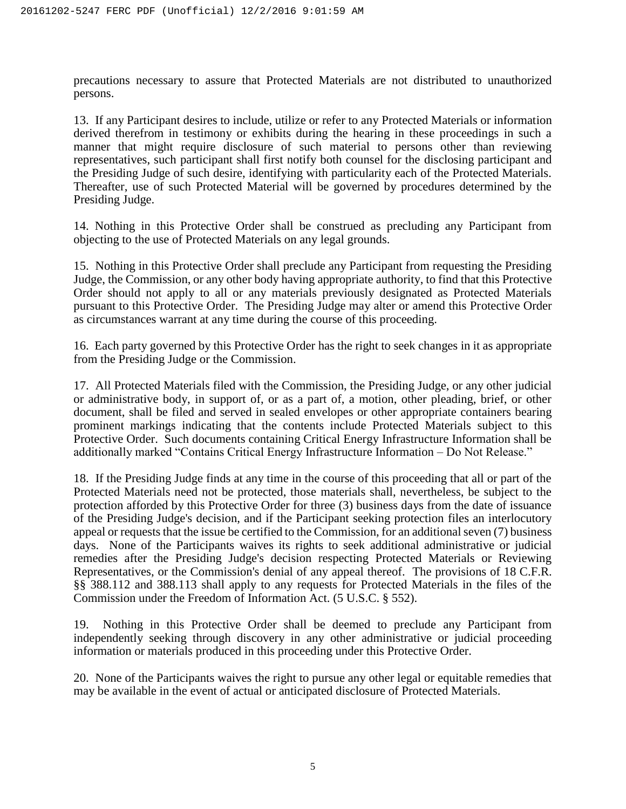precautions necessary to assure that Protected Materials are not distributed to unauthorized persons.

13. If any Participant desires to include, utilize or refer to any Protected Materials or information derived therefrom in testimony or exhibits during the hearing in these proceedings in such a manner that might require disclosure of such material to persons other than reviewing representatives, such participant shall first notify both counsel for the disclosing participant and the Presiding Judge of such desire, identifying with particularity each of the Protected Materials. Thereafter, use of such Protected Material will be governed by procedures determined by the Presiding Judge.

14. Nothing in this Protective Order shall be construed as precluding any Participant from objecting to the use of Protected Materials on any legal grounds.

15. Nothing in this Protective Order shall preclude any Participant from requesting the Presiding Judge, the Commission, or any other body having appropriate authority, to find that this Protective Order should not apply to all or any materials previously designated as Protected Materials pursuant to this Protective Order. The Presiding Judge may alter or amend this Protective Order as circumstances warrant at any time during the course of this proceeding.

16. Each party governed by this Protective Order has the right to seek changes in it as appropriate from the Presiding Judge or the Commission.

17. All Protected Materials filed with the Commission, the Presiding Judge, or any other judicial or administrative body, in support of, or as a part of, a motion, other pleading, brief, or other document, shall be filed and served in sealed envelopes or other appropriate containers bearing prominent markings indicating that the contents include Protected Materials subject to this Protective Order. Such documents containing Critical Energy Infrastructure Information shall be additionally marked "Contains Critical Energy Infrastructure Information – Do Not Release."

18. If the Presiding Judge finds at any time in the course of this proceeding that all or part of the Protected Materials need not be protected, those materials shall, nevertheless, be subject to the protection afforded by this Protective Order for three (3) business days from the date of issuance of the Presiding Judge's decision, and if the Participant seeking protection files an interlocutory appeal or requests that the issue be certified to the Commission, for an additional seven (7) business days. None of the Participants waives its rights to seek additional administrative or judicial remedies after the Presiding Judge's decision respecting Protected Materials or Reviewing Representatives, or the Commission's denial of any appeal thereof. The provisions of 18 C.F.R. §§ 388.112 and 388.113 shall apply to any requests for Protected Materials in the files of the Commission under the Freedom of Information Act. (5 U.S.C. § 552).

19. Nothing in this Protective Order shall be deemed to preclude any Participant from independently seeking through discovery in any other administrative or judicial proceeding information or materials produced in this proceeding under this Protective Order.

20. None of the Participants waives the right to pursue any other legal or equitable remedies that may be available in the event of actual or anticipated disclosure of Protected Materials.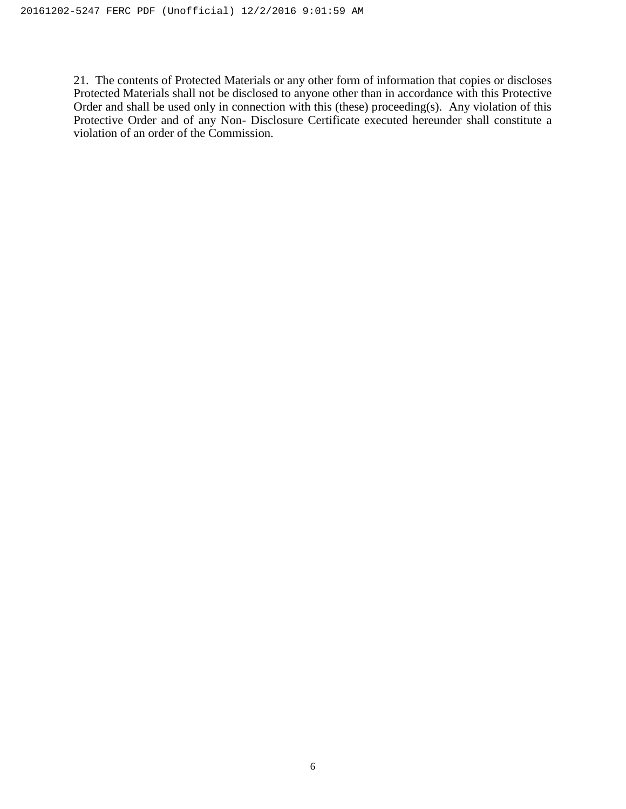21. The contents of Protected Materials or any other form of information that copies or discloses Protected Materials shall not be disclosed to anyone other than in accordance with this Protective Order and shall be used only in connection with this (these) proceeding(s). Any violation of this Protective Order and of any Non- Disclosure Certificate executed hereunder shall constitute a violation of an order of the Commission.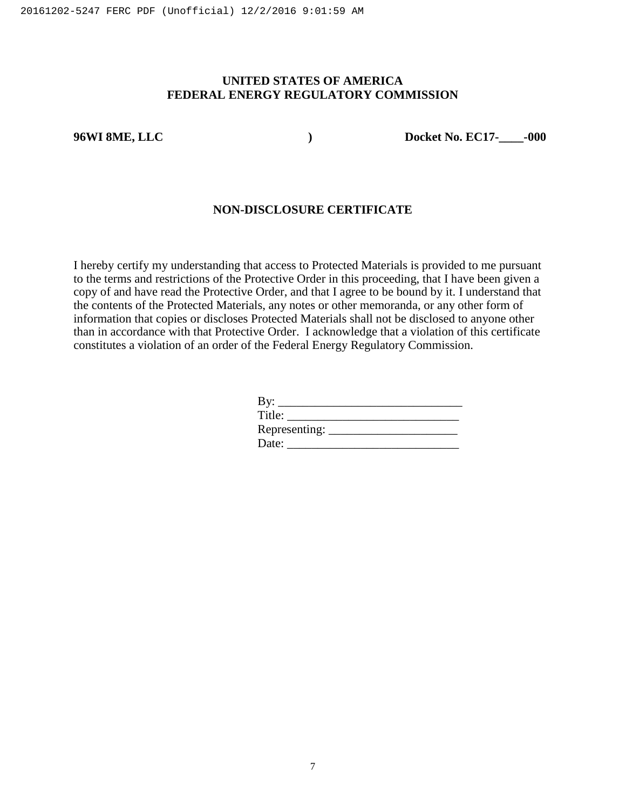#### **UNITED STATES OF AMERICA FEDERAL ENERGY REGULATORY COMMISSION**

**96WI 8ME, LLC ) Docket No. EC17-\_\_\_\_-000**

#### **NON-DISCLOSURE CERTIFICATE**

I hereby certify my understanding that access to Protected Materials is provided to me pursuant to the terms and restrictions of the Protective Order in this proceeding, that I have been given a copy of and have read the Protective Order, and that I agree to be bound by it. I understand that the contents of the Protected Materials, any notes or other memoranda, or any other form of information that copies or discloses Protected Materials shall not be disclosed to anyone other than in accordance with that Protective Order. I acknowledge that a violation of this certificate constitutes a violation of an order of the Federal Energy Regulatory Commission.

| By:             |  |
|-----------------|--|
| Title:          |  |
| Representing: _ |  |
| Date:           |  |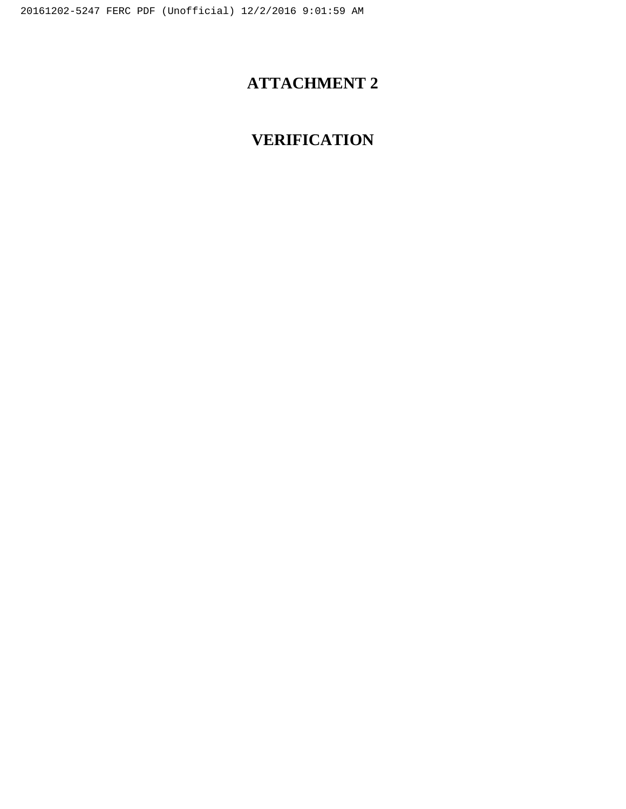## **ATTACHMENT 2**

# **VERIFICATION**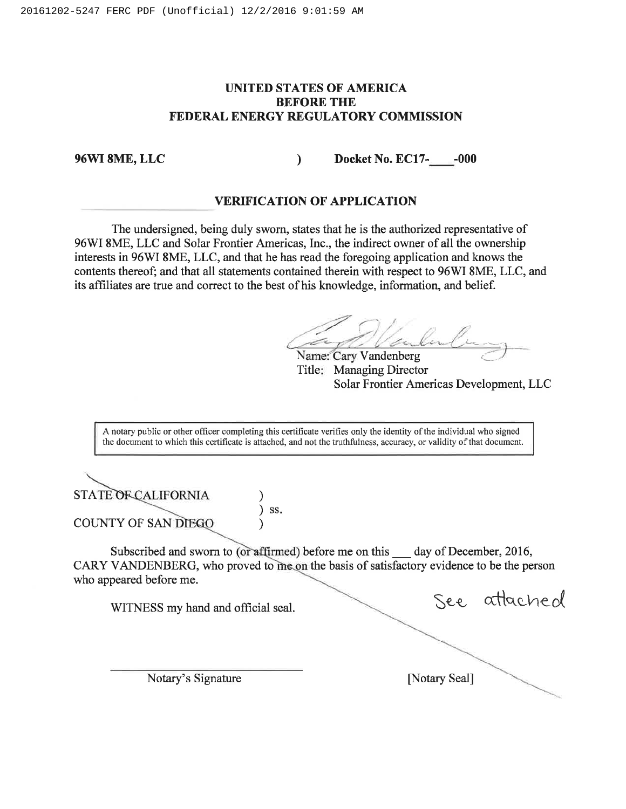#### **UNITED STATES OF AMERICA BEFORE THE FEDERAL ENERGY REGULATORY COMMISSION**

**96WI 8ME, LLC Docket No. EC17- -000** 

#### **VERIFICATION OF APPLICATION**

The undersigned, being duly sworn, states that he is the authorized representative of 96WI 8ME, LLC and Solar Frontier Americas, Inc., the indirect owner of all the ownership interests in 96WI 8ME, LLC, and that he has read the foregoing application and knows the contents thereof; and that all statements contained therein with respect to 96W1 8ME, LLC, and its affiliates are true and correct to the best of his knowledge, information, and belief.

**Name:'Cary Vandenberg**  Kar

Title: Managing Director Solar Frontier Americas Development, LLC

A notary public or other officer completing this certificate verifies only the identity of the individual who signed the document to which this certificate is attached, and not the truthfulness, accuracy, or validity of that document.

STATE OF CALIFORNIA **COUNTY OF SAN DIEGO** 

Subscribed and sworn to (or affirmed) before me on this \_\_\_ day of December, 2016, CARY VANDENBERG, who proved to me on the basis of satisfactory evidence to be the person who appeared before me.

 $\left( \begin{array}{c} 1 \end{array} \right)$  ss.

WITNESS my hand and official seal. See attached

Notary's Signature [Notary Seal]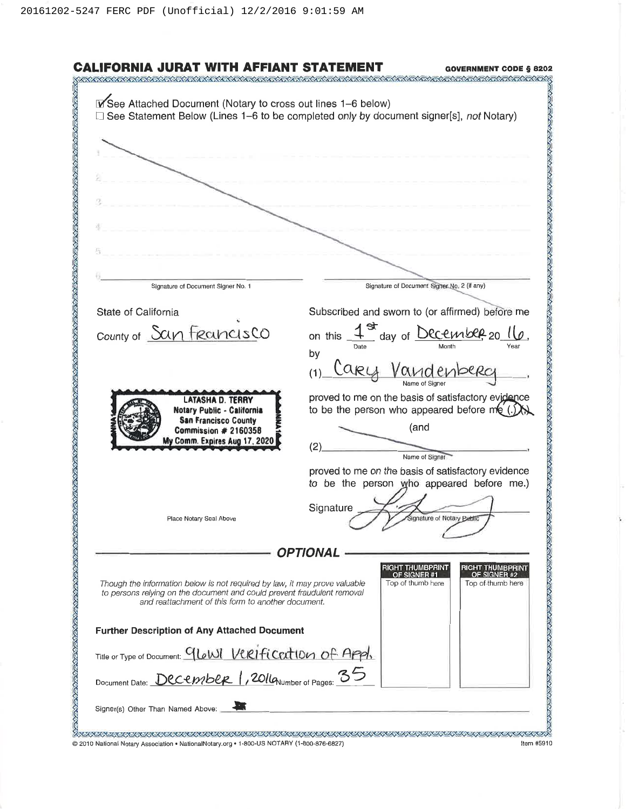|                                                                                                                                                       | <b>GOVERNMENT CODE § 8202</b>                                                                   |
|-------------------------------------------------------------------------------------------------------------------------------------------------------|-------------------------------------------------------------------------------------------------|
|                                                                                                                                                       |                                                                                                 |
| V See Attached Document (Notary to cross out lines 1-6 below)                                                                                         |                                                                                                 |
|                                                                                                                                                       | $\Box$ See Statement Below (Lines 1–6 to be completed only by document signer[s], not Notary)   |
|                                                                                                                                                       |                                                                                                 |
|                                                                                                                                                       |                                                                                                 |
|                                                                                                                                                       |                                                                                                 |
|                                                                                                                                                       |                                                                                                 |
|                                                                                                                                                       |                                                                                                 |
|                                                                                                                                                       |                                                                                                 |
|                                                                                                                                                       |                                                                                                 |
|                                                                                                                                                       |                                                                                                 |
|                                                                                                                                                       |                                                                                                 |
|                                                                                                                                                       |                                                                                                 |
|                                                                                                                                                       |                                                                                                 |
| Signature of Document Signer No. 1                                                                                                                    | Signature of Document Signer No. 2 (if any)                                                     |
|                                                                                                                                                       |                                                                                                 |
| State of California                                                                                                                                   | Subscribed and sworn to (or affirmed) before me                                                 |
|                                                                                                                                                       |                                                                                                 |
| county of San Freancisco                                                                                                                              | on this $\frac{1}{2}$ day of <u>December</u> 20 $\frac{1}{2}$ Year.                             |
|                                                                                                                                                       | by                                                                                              |
|                                                                                                                                                       | Cary Vanc<br>(1)                                                                                |
| <b>LATASHA D. TERRY</b>                                                                                                                               |                                                                                                 |
|                                                                                                                                                       | proved to me on the basis of satisfactory evidence                                              |
| Notary Public - California                                                                                                                            | to be the person who appeared before me                                                         |
| <b>San Francisco County</b><br>Commission # 2160358<br>My Comm. Expires Aug 17, 2020                                                                  | (and                                                                                            |
|                                                                                                                                                       |                                                                                                 |
|                                                                                                                                                       | (2)<br>Name of Signer                                                                           |
|                                                                                                                                                       |                                                                                                 |
|                                                                                                                                                       | proved to me on the basis of satisfactory evidence<br>to be the person who appeared before me.) |
|                                                                                                                                                       |                                                                                                 |
|                                                                                                                                                       | Signature                                                                                       |
| Place Notary Seal Above                                                                                                                               | gnature of Notary Bublic                                                                        |
|                                                                                                                                                       |                                                                                                 |
|                                                                                                                                                       | OPTIONAL                                                                                        |
|                                                                                                                                                       | RIGHT THUMBPRIN <b>T</b><br><b>RIGHT THUMBPRINT</b>                                             |
|                                                                                                                                                       | OF SIGNER #2<br>OF SIGNER #1                                                                    |
| Though the information below is not required by law, it may prove valuable<br>to persons relying on the document and could prevent fraudulent removal | Top of thumb here<br>Top of thumb here                                                          |
| and reattachment of this form to another document.                                                                                                    |                                                                                                 |
|                                                                                                                                                       |                                                                                                 |
| <b>Further Description of Any Attached Document</b>                                                                                                   |                                                                                                 |
|                                                                                                                                                       |                                                                                                 |
| Title or Type of Document: GLOWI VCRIfication of Appl.                                                                                                |                                                                                                 |
| Document Date: DCCCMbCR 1, 2014 Aumber of Pages: 35                                                                                                   |                                                                                                 |
|                                                                                                                                                       |                                                                                                 |
|                                                                                                                                                       |                                                                                                 |
| Signer(s) Other Than Named Above:                                                                                                                     |                                                                                                 |
|                                                                                                                                                       |                                                                                                 |